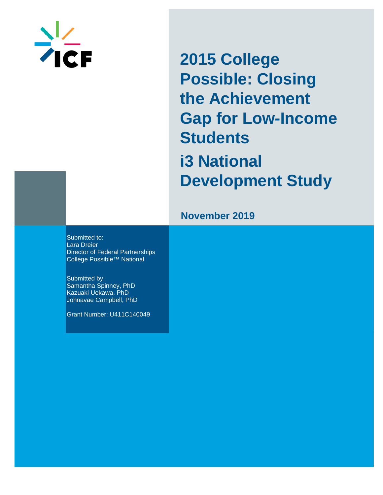

**2015 College Possible: Closing the Achievement Gap for Low-Income Students i3 National Development Study**

## **November 201 9**

Submitted to: Lara Dreier Director of Federal Partnerships College Possible™ National

Submitted by: Samantha Spinney, PhD Kazuaki Uekawa, PhD Johnavae Campbell, PhD

Grant Number: U411C140049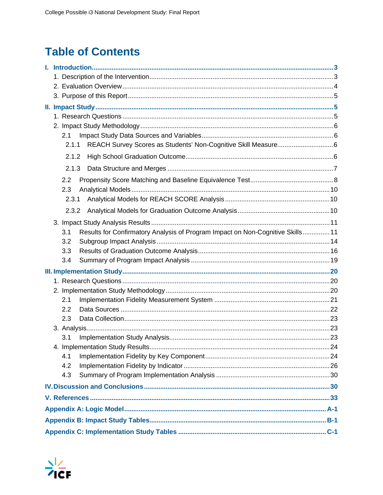# **Table of Contents**

| 2.1                                                                                   |  |  |  |  |  |  |  |  |
|---------------------------------------------------------------------------------------|--|--|--|--|--|--|--|--|
| 2.1.1                                                                                 |  |  |  |  |  |  |  |  |
| 2.1.2                                                                                 |  |  |  |  |  |  |  |  |
| 2.1.3                                                                                 |  |  |  |  |  |  |  |  |
| 2.2                                                                                   |  |  |  |  |  |  |  |  |
| 2.3                                                                                   |  |  |  |  |  |  |  |  |
| 2.3.1                                                                                 |  |  |  |  |  |  |  |  |
| 2.3.2                                                                                 |  |  |  |  |  |  |  |  |
|                                                                                       |  |  |  |  |  |  |  |  |
| Results for Confirmatory Analysis of Program Impact on Non-Cognitive Skills 11<br>3.1 |  |  |  |  |  |  |  |  |
| 3.2                                                                                   |  |  |  |  |  |  |  |  |
| 3.3                                                                                   |  |  |  |  |  |  |  |  |
| 3.4                                                                                   |  |  |  |  |  |  |  |  |
|                                                                                       |  |  |  |  |  |  |  |  |
|                                                                                       |  |  |  |  |  |  |  |  |
|                                                                                       |  |  |  |  |  |  |  |  |
| 2.1                                                                                   |  |  |  |  |  |  |  |  |
| 2.2                                                                                   |  |  |  |  |  |  |  |  |
| 2.3                                                                                   |  |  |  |  |  |  |  |  |
|                                                                                       |  |  |  |  |  |  |  |  |
| 3.1                                                                                   |  |  |  |  |  |  |  |  |
|                                                                                       |  |  |  |  |  |  |  |  |
| 4.1                                                                                   |  |  |  |  |  |  |  |  |
| 4.2                                                                                   |  |  |  |  |  |  |  |  |
| 4.3                                                                                   |  |  |  |  |  |  |  |  |
|                                                                                       |  |  |  |  |  |  |  |  |
|                                                                                       |  |  |  |  |  |  |  |  |
|                                                                                       |  |  |  |  |  |  |  |  |
|                                                                                       |  |  |  |  |  |  |  |  |
|                                                                                       |  |  |  |  |  |  |  |  |

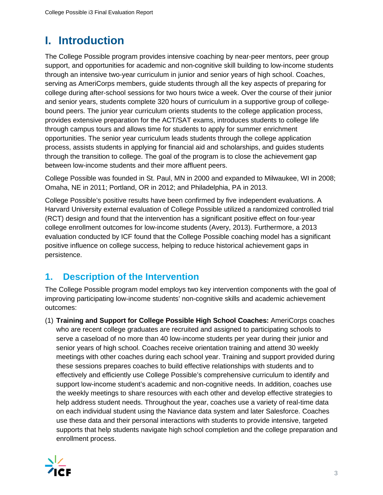# **I. Introduction**

The College Possible program provides intensive coaching by near-peer mentors, peer group support, and opportunities for academic and non-cognitive skill building to low-income students through an intensive two-year curriculum in junior and senior years of high school. Coaches, serving as AmeriCorps members, guide students through all the key aspects of preparing for college during after-school sessions for two hours twice a week. Over the course of their junior and senior years, students complete 320 hours of curriculum in a supportive group of collegebound peers. The junior year curriculum orients students to the college application process, provides extensive preparation for the ACT/SAT exams, introduces students to college life through campus tours and allows time for students to apply for summer enrichment opportunities. The senior year curriculum leads students through the college application process, assists students in applying for financial aid and scholarships, and guides students through the transition to college. The goal of the program is to close the achievement gap between low-income students and their more affluent peers.

College Possible was founded in St. Paul, MN in 2000 and expanded to Milwaukee, WI in 2008; Omaha, NE in 2011; Portland, OR in 2012; and Philadelphia, PA in 2013.

College Possible's positive results have been confirmed by five independent evaluations. A Harvard University external evaluation of College Possible utilized a randomized controlled trial (RCT) design and found that the intervention has a significant positive effect on four-year college enrollment outcomes for low-income students (Avery, 2013). Furthermore, a 2013 evaluation conducted by ICF found that the College Possible coaching model has a significant positive influence on college success, helping to reduce historical achievement gaps in persistence.

## **1. Description of the Intervention**

The College Possible program model employs two key intervention components with the goal of improving participating low-income students' non-cognitive skills and academic achievement outcomes:

(1) **Training and Support for College Possible High School Coaches:** AmeriCorps coaches who are recent college graduates are recruited and assigned to participating schools to serve a caseload of no more than 40 low-income students per year during their junior and senior years of high school. Coaches receive orientation training and attend 30 weekly meetings with other coaches during each school year. Training and support provided during these sessions prepares coaches to build effective relationships with students and to effectively and efficiently use College Possible's comprehensive curriculum to identify and support low-income student's academic and non-cognitive needs. In addition, coaches use the weekly meetings to share resources with each other and develop effective strategies to help address student needs. Throughout the year, coaches use a variety of real-time data on each individual student using the Naviance data system and later Salesforce. Coaches use these data and their personal interactions with students to provide intensive, targeted supports that help students navigate high school completion and the college preparation and enrollment process.

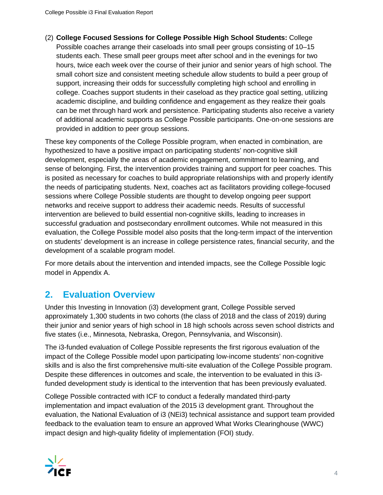(2) **College Focused Sessions for College Possible High School Students:** College Possible coaches arrange their caseloads into small peer groups consisting of 10–15 students each. These small peer groups meet after school and in the evenings for two hours, twice each week over the course of their junior and senior years of high school. The small cohort size and consistent meeting schedule allow students to build a peer group of support, increasing their odds for successfully completing high school and enrolling in college. Coaches support students in their caseload as they practice goal setting, utilizing academic discipline, and building confidence and engagement as they realize their goals can be met through hard work and persistence. Participating students also receive a variety of additional academic supports as College Possible participants. One-on-one sessions are provided in addition to peer group sessions.

These key components of the College Possible program, when enacted in combination, are hypothesized to have a positive impact on participating students' non-cognitive skill development, especially the areas of academic engagement, commitment to learning, and sense of belonging. First, the intervention provides training and support for peer coaches. This is posited as necessary for coaches to build appropriate relationships with and properly identify the needs of participating students. Next, coaches act as facilitators providing college-focused sessions where College Possible students are thought to develop ongoing peer support networks and receive support to address their academic needs. Results of successful intervention are believed to build essential non-cognitive skills, leading to increases in successful graduation and postsecondary enrollment outcomes. While not measured in this evaluation, the College Possible model also posits that the long-term impact of the intervention on students' development is an increase in college persistence rates, financial security, and the development of a scalable program model.

For more details about the intervention and intended impacts, see the College Possible logic model in Appendix A.

## **2. Evaluation Overview**

Under this Investing in Innovation (i3) development grant, College Possible served approximately 1,300 students in two cohorts (the class of 2018 and the class of 2019) during their junior and senior years of high school in 18 high schools across seven school districts and five states (i.e., Minnesota, Nebraska, Oregon, Pennsylvania, and Wisconsin).

The i3-funded evaluation of College Possible represents the first rigorous evaluation of the impact of the College Possible model upon participating low-income students' non-cognitive skills and is also the first comprehensive multi-site evaluation of the College Possible program. Despite these differences in outcomes and scale, the intervention to be evaluated in this i3 funded development study is identical to the intervention that has been previously evaluated.

College Possible contracted with ICF to conduct a federally mandated third-party implementation and impact evaluation of the 2015 i3 development grant. Throughout the evaluation, the National Evaluation of i3 (NEi3) technical assistance and support team provided feedback to the evaluation team to ensure an approved What Works Clearinghouse (WWC) impact design and high-quality fidelity of implementation (FOI) study.

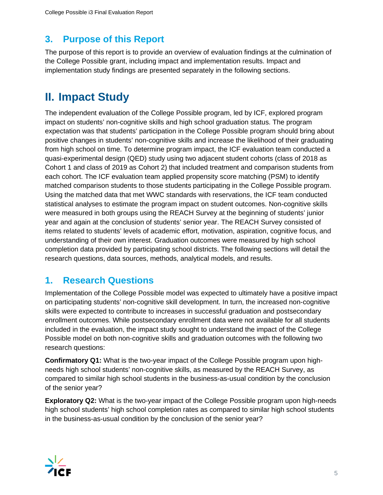## **3. Purpose of this Report**

The purpose of this report is to provide an overview of evaluation findings at the culmination of the College Possible grant, including impact and implementation results. Impact and implementation study findings are presented separately in the following sections.

# **II. Impact Study**

The independent evaluation of the College Possible program, led by ICF, explored program impact on students' non-cognitive skills and high school graduation status. The program expectation was that students' participation in the College Possible program should bring about positive changes in students' non-cognitive skills and increase the likelihood of their graduating from high school on time. To determine program impact, the ICF evaluation team conducted a quasi-experimental design (QED) study using two adjacent student cohorts (class of 2018 as Cohort 1 and class of 2019 as Cohort 2) that included treatment and comparison students from each cohort. The ICF evaluation team applied propensity score matching (PSM) to identify matched comparison students to those students participating in the College Possible program. Using the matched data that met WWC standards with reservations, the ICF team conducted statistical analyses to estimate the program impact on student outcomes. Non-cognitive skills were measured in both groups using the REACH Survey at the beginning of students' junior year and again at the conclusion of students' senior year. The REACH Survey consisted of items related to students' levels of academic effort, motivation, aspiration, cognitive focus, and understanding of their own interest. Graduation outcomes were measured by high school completion data provided by participating school districts. The following sections will detail the research questions, data sources, methods, analytical models, and results.

## **1. Research Questions**

Implementation of the College Possible model was expected to ultimately have a positive impact on participating students' non-cognitive skill development. In turn, the increased non-cognitive skills were expected to contribute to increases in successful graduation and postsecondary enrollment outcomes. While postsecondary enrollment data were not available for all students included in the evaluation, the impact study sought to understand the impact of the College Possible model on both non-cognitive skills and graduation outcomes with the following two research questions:

**Confirmatory Q1:** What is the two-year impact of the College Possible program upon highneeds high school students' non-cognitive skills, as measured by the REACH Survey, as compared to similar high school students in the business-as-usual condition by the conclusion of the senior year?

**Exploratory Q2:** What is the two-year impact of the College Possible program upon high-needs high school students' high school completion rates as compared to similar high school students in the business-as-usual condition by the conclusion of the senior year?

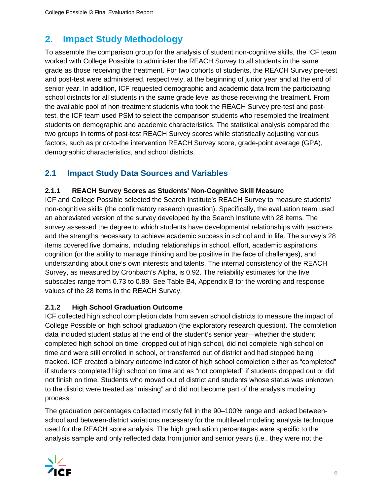## **2. Impact Study Methodology**

To assemble the comparison group for the analysis of student non-cognitive skills, the ICF team worked with College Possible to administer the REACH Survey to all students in the same grade as those receiving the treatment. For two cohorts of students, the REACH Survey pre-test and post-test were administered, respectively, at the beginning of junior year and at the end of senior year. In addition, ICF requested demographic and academic data from the participating school districts for all students in the same grade level as those receiving the treatment. From the available pool of non-treatment students who took the REACH Survey pre-test and posttest, the ICF team used PSM to select the comparison students who resembled the treatment students on demographic and academic characteristics. The statistical analysis compared the two groups in terms of post-test REACH Survey scores while statistically adjusting various factors, such as prior-to-the intervention REACH Survey score, grade-point average (GPA), demographic characteristics, and school districts.

## **2.1 Impact Study Data Sources and Variables**

### **2.1.1 REACH Survey Scores as Students' Non-Cognitive Skill Measure**

ICF and College Possible selected the Search Institute's REACH Survey to measure students' non-cognitive skills (the confirmatory research question). Specifically, the evaluation team used an abbreviated version of the survey developed by the Search Institute with 28 items. The survey assessed the degree to which students have developmental relationships with teachers and the strengths necessary to achieve academic success in school and in life. The survey's 28 items covered five domains, including relationships in school, effort, academic aspirations, cognition (or the ability to manage thinking and be positive in the face of challenges), and understanding about one's own interests and talents. The internal consistency of the REACH Survey, as measured by Cronbach's Alpha, is 0.92. The reliability estimates for the five subscales range from 0.73 to 0.89. See Table B4, Appendix B for the wording and response values of the 28 items in the REACH Survey.

## **2.1.2 High School Graduation Outcome**

ICF collected high school completion data from seven school districts to measure the impact of College Possible on high school graduation (the exploratory research question). The completion data included student status at the end of the student's senior year—whether the student completed high school on time, dropped out of high school, did not complete high school on time and were still enrolled in school, or transferred out of district and had stopped being tracked. ICF created a binary outcome indicator of high school completion either as "completed" if students completed high school on time and as "not completed" if students dropped out or did not finish on time. Students who moved out of district and students whose status was unknown to the district were treated as "missing" and did not become part of the analysis modeling process.

The graduation percentages collected mostly fell in the 90–100% range and lacked betweenschool and between-district variations necessary for the multilevel modeling analysis technique used for the REACH score analysis. The high graduation percentages were specific to the analysis sample and only reflected data from junior and senior years (i.e., they were not the

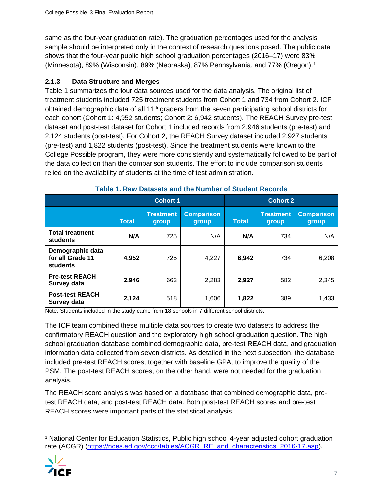same as the four-year graduation rate). The graduation percentages used for the analysis sample should be interpreted only in the context of research questions posed. The public data shows that the four-year public high school graduation percentages (2016–17) were 83% (Minnesota), 89% (Wisconsin), 89% (Nebraska), 87% Pennsylvania, and 77% (Oregon).[1](#page-6-0)

### **2.1.3 Data Structure and Merges**

Table 1 summarizes the four data sources used for the data analysis. The original list of treatment students included 725 treatment students from Cohort 1 and 734 from Cohort 2. ICF obtained demographic data of all 11<sup>th</sup> graders from the seven participating school districts for each cohort (Cohort 1: 4,952 students; Cohort 2: 6,942 students). The REACH Survey pre-test dataset and post-test dataset for Cohort 1 included records from 2,946 students (pre-test) and 2,124 students (post-test). For Cohort 2, the REACH Survey dataset included 2,927 students (pre-test) and 1,822 students (post-test). Since the treatment students were known to the College Possible program, they were more consistently and systematically followed to be part of the data collection than the comparison students. The effort to include comparison students relied on the availability of students at the time of test administration.

|                                                  |              | <b>Cohort 1</b>           |                            | <b>Cohort 2</b> |                           |                            |  |
|--------------------------------------------------|--------------|---------------------------|----------------------------|-----------------|---------------------------|----------------------------|--|
|                                                  | <b>Total</b> | <b>Treatment</b><br>group | <b>Comparison</b><br>group | <b>Total</b>    | <b>Treatment</b><br>group | <b>Comparison</b><br>group |  |
| <b>Total treatment</b><br><b>students</b>        | N/A          | 725                       | N/A                        | N/A             | 734                       | N/A                        |  |
| Demographic data<br>for all Grade 11<br>students | 4,952        | 725                       | 4,227                      | 6,942           | 734                       | 6,208                      |  |
| <b>Pre-test REACH</b><br>Survey data             | 2,946        | 663                       | 2,283                      | 2,927           | 582                       | 2,345                      |  |
| <b>Post-test REACH</b><br>Survey data            | 2,124        | 518                       | 1,606                      | 1,822           | 389                       | 1,433                      |  |

#### **Table 1. Raw Datasets and the Number of Student Records**

Note: Students included in the study came from 18 schools in 7 different school districts.

The ICF team combined these multiple data sources to create two datasets to address the confirmatory REACH question and the exploratory high school graduation question. The high school graduation database combined demographic data, pre-test REACH data, and graduation information data collected from seven districts. As detailed in the next subsection, the database included pre-test REACH scores, together with baseline GPA, to improve the quality of the PSM. The post-test REACH scores, on the other hand, were not needed for the graduation analysis.

The REACH score analysis was based on a database that combined demographic data, pretest REACH data, and post-test REACH data. Both post-test REACH scores and pre-test REACH scores were important parts of the statistical analysis.

<span id="page-6-0"></span><sup>1</sup> National Center for Education Statistics, Public high school 4-year adjusted cohort graduation rate (ACGR) [\(https://nces.ed.gov/ccd/tables/ACGR\\_RE\\_and\\_characteristics\\_2016-17.asp\)](https://nces.ed.gov/ccd/tables/ACGR_RE_and_characteristics_2016-17.asp).

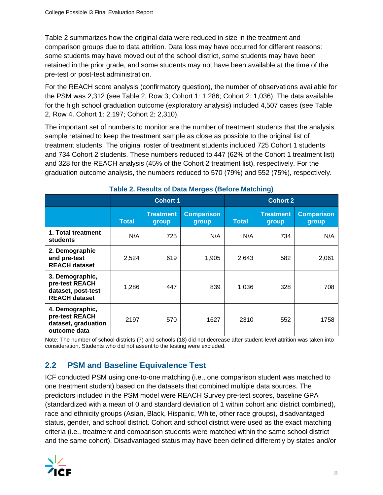Table 2 summarizes how the original data were reduced in size in the treatment and comparison groups due to data attrition. Data loss may have occurred for different reasons: some students may have moved out of the school district, some students may have been retained in the prior grade, and some students may not have been available at the time of the pre-test or post-test administration.

For the REACH score analysis (confirmatory question), the number of observations available for the PSM was 2,312 (see Table 2, Row 3; Cohort 1: 1,286; Cohort 2: 1,036). The data available for the high school graduation outcome (exploratory analysis) included 4,507 cases (see Table 2, Row 4, Cohort 1: 2,197; Cohort 2: 2,310).

The important set of numbers to monitor are the number of treatment students that the analysis sample retained to keep the treatment sample as close as possible to the original list of treatment students. The original roster of treatment students included 725 Cohort 1 students and 734 Cohort 2 students. These numbers reduced to 447 (62% of the Cohort 1 treatment list) and 328 for the REACH analysis (45% of the Cohort 2 treatment list), respectively. For the graduation outcome analysis, the numbers reduced to 570 (79%) and 552 (75%), respectively.

| ably $\equiv$ , hoodito of Bata morgoo (Bororo mateming)                        |              |                           |                            |                 |                           |                            |  |  |
|---------------------------------------------------------------------------------|--------------|---------------------------|----------------------------|-----------------|---------------------------|----------------------------|--|--|
|                                                                                 |              | <b>Cohort 1</b>           |                            | <b>Cohort 2</b> |                           |                            |  |  |
|                                                                                 | <b>Total</b> | <b>Treatment</b><br>group | <b>Comparison</b><br>group | <b>Total</b>    | <b>Treatment</b><br>group | <b>Comparison</b><br>group |  |  |
| 1. Total treatment<br>students                                                  | N/A          | 725                       | N/A                        | N/A             | 734                       | N/A                        |  |  |
| 2. Demographic<br>and pre-test<br><b>REACH dataset</b>                          | 2,524        | 619                       | 1,905                      | 2,643           | 582                       | 2,061                      |  |  |
| 3. Demographic,<br>pre-test REACH<br>dataset, post-test<br><b>REACH dataset</b> | 1,286        | 447                       | 839                        | 1,036           | 328                       | 708                        |  |  |
| 4. Demographic,<br>pre-test REACH<br>dataset, graduation<br>outcome data        | 2197         | 570                       | 1627                       | 2310            | 552                       | 1758                       |  |  |

## **Table 2. Results of Data Merges (Before Matching)**

Note: The number of school districts (7) and schools (18) did not decrease after student-level attrition was taken into consideration. Students who did not assent to the testing were excluded.

## **2.2 PSM and Baseline Equivalence Test**

ICF conducted PSM using one-to-one matching (i.e., one comparison student was matched to one treatment student) based on the datasets that combined multiple data sources. The predictors included in the PSM model were REACH Survey pre-test scores, baseline GPA (standardized with a mean of 0 and standard deviation of 1 within cohort and district combined), race and ethnicity groups (Asian, Black, Hispanic, White, other race groups), disadvantaged status, gender, and school district. Cohort and school district were used as the exact matching criteria (i.e., treatment and comparison students were matched within the same school district and the same cohort). Disadvantaged status may have been defined differently by states and/or

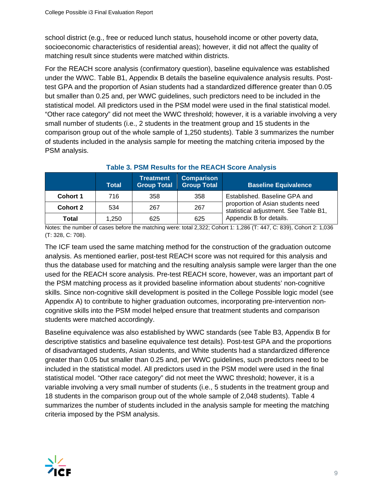school district (e.g., free or reduced lunch status, household income or other poverty data, socioeconomic characteristics of residential areas); however, it did not affect the quality of matching result since students were matched within districts.

For the REACH score analysis (confirmatory question), baseline equivalence was established under the WWC. Table B1, Appendix B details the baseline equivalence analysis results. Posttest GPA and the proportion of Asian students had a standardized difference greater than 0.05 but smaller than 0.25 and, per WWC guidelines, such predictors need to be included in the statistical model. All predictors used in the PSM model were used in the final statistical model. "Other race category" did not meet the WWC threshold; however, it is a variable involving a very small number of students (i.e., 2 students in the treatment group and 15 students in the comparison group out of the whole sample of 1,250 students). Table 3 summarizes the number of students included in the analysis sample for meeting the matching criteria imposed by the PSM analysis.

|                 | <b>Total</b> | <b>Treatment</b><br><b>Group Total</b> | <b>Comparison</b><br><b>Group Total</b> | <b>Baseline Equivalence</b>                                                |
|-----------------|--------------|----------------------------------------|-----------------------------------------|----------------------------------------------------------------------------|
| <b>Cohort 1</b> | 716          | 358                                    | 358                                     | Established. Baseline GPA and                                              |
| <b>Cohort 2</b> | 534          | 267                                    | 267                                     | proportion of Asian students need<br>statistical adjustment. See Table B1, |
| Total           | 1.250        | 625                                    | 625                                     | Appendix B for details.                                                    |

#### **Table 3. PSM Results for the REACH Score Analysis**

Notes: the number of cases before the matching were: total 2,322; Cohort 1: 1,286 (T: 447, C: 839), Cohort 2: 1,036 (T: 328, C: 708).

The ICF team used the same matching method for the construction of the graduation outcome analysis. As mentioned earlier, post-test REACH score was not required for this analysis and thus the database used for matching and the resulting analysis sample were larger than the one used for the REACH score analysis. Pre-test REACH score, however, was an important part of the PSM matching process as it provided baseline information about students' non-cognitive skills. Since non-cognitive skill development is posited in the College Possible logic model (see Appendix A) to contribute to higher graduation outcomes, incorporating pre-intervention noncognitive skills into the PSM model helped ensure that treatment students and comparison students were matched accordingly.

Baseline equivalence was also established by WWC standards (see Table B3, Appendix B for descriptive statistics and baseline equivalence test details). Post-test GPA and the proportions of disadvantaged students, Asian students, and White students had a standardized difference greater than 0.05 but smaller than 0.25 and, per WWC guidelines, such predictors need to be included in the statistical model. All predictors used in the PSM model were used in the final statistical model. "Other race category" did not meet the WWC threshold; however, it is a variable involving a very small number of students (i.e., 5 students in the treatment group and 18 students in the comparison group out of the whole sample of 2,048 students). Table 4 summarizes the number of students included in the analysis sample for meeting the matching criteria imposed by the PSM analysis.

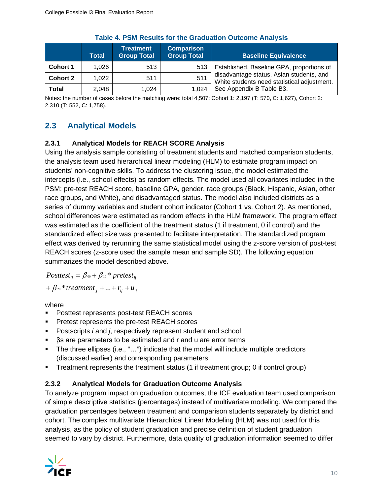|                 | Total | <b>Treatment</b><br><b>Group Total</b> | <b>Comparison</b><br><b>Group Total</b> | <b>Baseline Equivalence</b>                                                             |
|-----------------|-------|----------------------------------------|-----------------------------------------|-----------------------------------------------------------------------------------------|
| <b>Cohort 1</b> | 1,026 | 513                                    | 513                                     | Established. Baseline GPA, proportions of                                               |
| <b>Cohort 2</b> | 1,022 | 511                                    | 511                                     | disadvantage status, Asian students, and<br>White students need statistical adjustment. |
| <b>Total</b>    | 2,048 | 1.024                                  | 1.024                                   | See Appendix B Table B3.                                                                |

|  |  | <b>Table 4. PSM Results for the Graduation Outcome Analysis</b> |  |
|--|--|-----------------------------------------------------------------|--|
|  |  |                                                                 |  |

Notes: the number of cases before the matching were: total 4,507; Cohort 1: 2,197 (T: 570, C: 1,627), Cohort 2: 2,310 (T: 552, C: 1,758).

## **2.3 Analytical Models**

### **2.3.1 Analytical Models for REACH SCORE Analysis**

Using the analysis sample consisting of treatment students and matched comparison students, the analysis team used hierarchical linear modeling (HLM) to estimate program impact on students' non-cognitive skills. To address the clustering issue, the model estimated the intercepts (i.e., school effects) as random effects. The model used all covariates included in the PSM: pre-test REACH score, baseline GPA, gender, race groups (Black, Hispanic, Asian, other race groups, and White), and disadvantaged status. The model also included districts as a series of dummy variables and student cohort indicator (Cohort 1 vs. Cohort 2). As mentioned, school differences were estimated as random effects in the HLM framework. The program effect was estimated as the coefficient of the treatment status (1 if treatment, 0 if control) and the standardized effect size was presented to facilitate interpretation. The standardized program effect was derived by rerunning the same statistical model using the z-score version of post-test REACH scores (z-score used the sample mean and sample SD). The following equation summarizes the model described above.

 $Posttest_{ij} = \beta_{\text{00}} + \beta_{\text{10}} * pretest_{ij}$ 

 $f + \beta_{20}$  \* treatment  $f_j + ... + r_{ij} + u_j$ 

where

- Posttest represents post-test REACH scores
- Pretest represents the pre-test REACH scores
- Postscripts *i* and *j*, respectively represent student and school
- βs are parameters to be estimated and r and u are error terms
- The three ellipses (i.e., "...") indicate that the model will include multiple predictors (discussed earlier) and corresponding parameters
- Treatment represents the treatment status (1 if treatment group; 0 if control group)

#### **2.3.2 Analytical Models for Graduation Outcome Analysis**

To analyze program impact on graduation outcomes, the ICF evaluation team used comparison of simple descriptive statistics (percentages) instead of multivariate modeling. We compared the graduation percentages between treatment and comparison students separately by district and cohort. The complex multivariate Hierarchical Linear Modeling (HLM) was not used for this analysis, as the policy of student graduation and precise definition of student graduation seemed to vary by district. Furthermore, data quality of graduation information seemed to differ

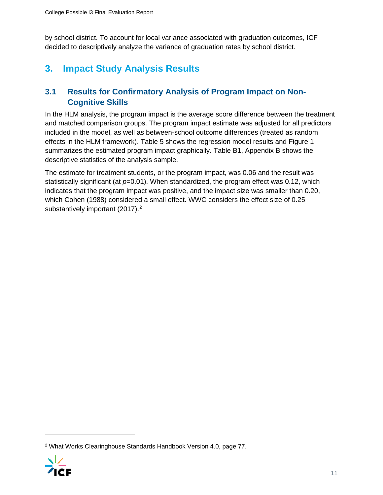by school district. To account for local variance associated with graduation outcomes, ICF decided to descriptively analyze the variance of graduation rates by school district.

## **3. Impact Study Analysis Results**

## **3.1 Results for Confirmatory Analysis of Program Impact on Non-Cognitive Skills**

In the HLM analysis, the program impact is the average score difference between the treatment and matched comparison groups. The program impact estimate was adjusted for all predictors included in the model, as well as between-school outcome differences (treated as random effects in the HLM framework). Table 5 shows the regression model results and Figure 1 summarizes the estimated program impact graphically. Table B1, Appendix B shows the descriptive statistics of the analysis sample.

The estimate for treatment students, or the program impact, was 0.06 and the result was statistically significant (at  $p=0.01$ ). When standardized, the program effect was 0.12, which indicates that the program impact was positive, and the impact size was smaller than 0.20, which Cohen (1988) considered a small effect. WWC considers the effect size of 0.25 substantively important ([2](#page-10-0)017).<sup>2</sup>

<span id="page-10-0"></span><sup>2</sup> What Works Clearinghouse Standards Handbook Version 4.0, page 77.

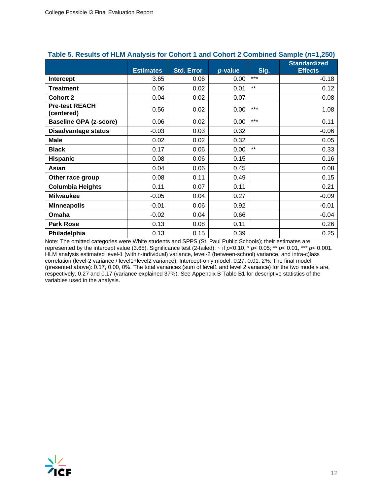|                                     |                  |                   |         |       | <b>Standardized</b> |
|-------------------------------------|------------------|-------------------|---------|-------|---------------------|
|                                     | <b>Estimates</b> | <b>Std. Error</b> | p-value | Sig.  | <b>Effects</b>      |
| Intercept                           | 3.65             | 0.06              | 0.00    | $***$ | $-0.18$             |
| <b>Treatment</b>                    | 0.06             | 0.02              | 0.01    | $***$ | 0.12                |
| <b>Cohort 2</b>                     | $-0.04$          | 0.02              | 0.07    |       | $-0.08$             |
| <b>Pre-test REACH</b><br>(centered) | 0.56             | 0.02              | 0.00    | $***$ | 1.08                |
| <b>Baseline GPA (z-score)</b>       | 0.06             | 0.02              | 0.00    | $***$ | 0.11                |
| <b>Disadvantage status</b>          | $-0.03$          | 0.03              | 0.32    |       | $-0.06$             |
| <b>Male</b>                         | 0.02             | 0.02              | 0.32    |       | 0.05                |
| <b>Black</b>                        | 0.17             | 0.06              | 0.00    | $***$ | 0.33                |
| <b>Hispanic</b>                     | 0.08             | 0.06              | 0.15    |       | 0.16                |
| Asian                               | 0.04             | 0.06              | 0.45    |       | 0.08                |
| Other race group                    | 0.08             | 0.11              | 0.49    |       | 0.15                |
| <b>Columbia Heights</b>             | 0.11             | 0.07              | 0.11    |       | 0.21                |
| <b>Milwaukee</b>                    | $-0.05$          | 0.04              | 0.27    |       | $-0.09$             |
| <b>Minneapolis</b>                  | $-0.01$          | 0.06              | 0.92    |       | $-0.01$             |
| Omaha                               | $-0.02$          | 0.04              | 0.66    |       | $-0.04$             |
| <b>Park Rose</b>                    | 0.13             | 0.08              | 0.11    |       | 0.26                |
| Philadelphia                        | 0.13             | 0.15              | 0.39    |       | 0.25                |

#### **Table 5. Results of HLM Analysis for Cohort 1 and Cohort 2 Combined Sample (***n***=1,250)**

Note: The omitted categories were White students and SPPS (St. Paul Public Schools); their estimates are represented by the intercept value (3.65). Significance test (2-tailed): ~ if *p*<0.10, \* *p*< 0.05; \*\* *p*< 0.01, \*\*\* *p*< 0.001. HLM analysis estimated level-1 (within-individual) variance, level-2 (between-school) variance, and intra-c)lass correlation (level-2 variance / level1+level2 variance): Intercept-only model: 0.27, 0.01, 2%; The final model (presented above): 0.17, 0.00, 0%. The total variances (sum of level1 and level 2 variance) for the two models are, respectively, 0.27 and 0.17 (variance explained 37%). See Appendix B Table B1 for descriptive statistics of the variables used in the analysis.

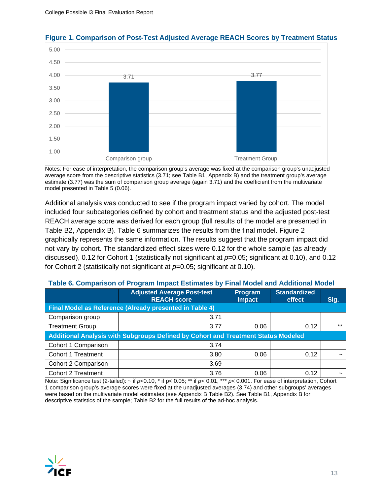

#### **Figure 1. Comparison of Post-Test Adjusted Average REACH Scores by Treatment Status**

Notes: For ease of interpretation, the comparison group's average was fixed at the comparison group's unadjusted average score from the descriptive statistics (3.71; see Table B1, Appendix B) and the treatment group's average estimate (3.77) was the sum of comparison group average (again 3.71) and the coefficient from the multivariate model presented in Table 5 (0.06).

Additional analysis was conducted to see if the program impact varied by cohort. The model included four subcategories defined by cohort and treatment status and the adjusted post-test REACH average score was derived for each group (full results of the model are presented in Table B2, Appendix B). Table 6 summarizes the results from the final model. Figure 2 graphically represents the same information. The results suggest that the program impact did not vary by cohort. The standardized effect sizes were 0.12 for the whole sample (as already discussed), 0.12 for Cohort 1 (statistically not significant at  $p=0.05$ ; significant at 0.10), and 0.12 for Cohort 2 (statistically not significant at *p*=0.05; significant at 0.10).

|                                                         | <b>Adjusted Average Post-test</b><br><b>REACH score</b>                           | Program<br><b>Impact</b> | <b>Standardized</b><br>effect | Sig.  |  |  |  |  |  |
|---------------------------------------------------------|-----------------------------------------------------------------------------------|--------------------------|-------------------------------|-------|--|--|--|--|--|
| Final Model as Reference (Already presented in Table 4) |                                                                                   |                          |                               |       |  |  |  |  |  |
| Comparison group                                        | 3.71                                                                              |                          |                               |       |  |  |  |  |  |
| <b>Treatment Group</b>                                  | 3.77                                                                              | 0.06                     | 0.12                          | $***$ |  |  |  |  |  |
|                                                         | Additional Analysis with Subgroups Defined by Cohort and Treatment Status Modeled |                          |                               |       |  |  |  |  |  |
| Cohort 1 Comparison                                     | 3.74                                                                              |                          |                               |       |  |  |  |  |  |
| Cohort 1 Treatment                                      | 3.80                                                                              | 0.06                     | 0.12                          |       |  |  |  |  |  |
| Cohort 2 Comparison                                     | 3.69                                                                              |                          |                               |       |  |  |  |  |  |
| <b>Cohort 2 Treatment</b>                               | 3.76                                                                              | 0.06                     | 0.12                          |       |  |  |  |  |  |

#### **Table 6. Comparison of Program Impact Estimates by Final Model and Additional Model**

Note: Significance test (2-tailed): ~ if  $p<0.10$ , \* if  $p<0.05$ ; \*\* if  $p<0.01$ , \*\*\*  $p<0.001$ . For ease of interpretation, Cohort 1 comparison group's average scores were fixed at the unadjusted averages (3.74) and other subgroups' averages were based on the multivariate model estimates (see Appendix B Table B2). See Table B1, Appendix B for descriptive statistics of the sample; Table B2 for the full results of the ad-hoc analysis.

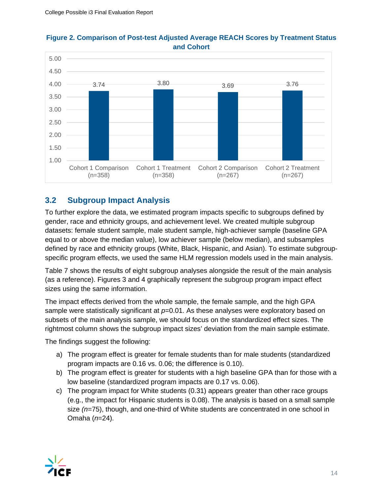

#### **Figure 2. Comparison of Post-test Adjusted Average REACH Scores by Treatment Status and Cohort**

## **3.2 Subgroup Impact Analysis**

To further explore the data, we estimated program impacts specific to subgroups defined by gender, race and ethnicity groups, and achievement level. We created multiple subgroup datasets: female student sample, male student sample, high-achiever sample (baseline GPA equal to or above the median value), low achiever sample (below median), and subsamples defined by race and ethnicity groups (White, Black, Hispanic, and Asian). To estimate subgroupspecific program effects, we used the same HLM regression models used in the main analysis.

Table 7 shows the results of eight subgroup analyses alongside the result of the main analysis (as a reference). Figures 3 and 4 graphically represent the subgroup program impact effect sizes using the same information.

The impact effects derived from the whole sample, the female sample, and the high GPA sample were statistically significant at  $p=0.01$ . As these analyses were exploratory based on subsets of the main analysis sample, we should focus on the standardized effect sizes. The rightmost column shows the subgroup impact sizes' deviation from the main sample estimate.

The findings suggest the following:

- a) The program effect is greater for female students than for male students (standardized program impacts are 0.16 vs. 0.06; the difference is 0.10).
- b) The program effect is greater for students with a high baseline GPA than for those with a low baseline (standardized program impacts are 0.17 vs. 0.06).
- c) The program impact for White students (0.31) appears greater than other race groups (e.g., the impact for Hispanic students is 0.08). The analysis is based on a small sample size *(n*=75), though, and one-third of White students are concentrated in one school in Omaha (*n*=24).

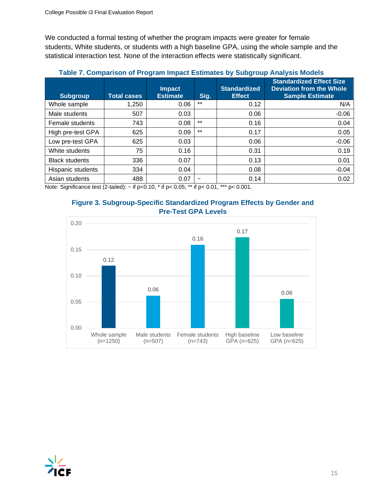We conducted a formal testing of whether the program impacts were greater for female students, White students, or students with a high baseline GPA, using the whole sample and the statistical interaction test. None of the interaction effects were statistically significant.

|                       |                    | $\tilde{\phantom{a}}$            |            |                                      |                                                                                              |
|-----------------------|--------------------|----------------------------------|------------|--------------------------------------|----------------------------------------------------------------------------------------------|
| <b>Subgroup</b>       | <b>Total cases</b> | <b>Impact</b><br><b>Estimate</b> | Sig.       | <b>Standardized</b><br><b>Effect</b> | <b>Standardized Effect Size</b><br><b>Deviation from the Whole</b><br><b>Sample Estimate</b> |
| Whole sample          | 1,250              | 0.06                             | $***$      | 0.12                                 | N/A                                                                                          |
| Male students         | 507                | 0.03                             |            | 0.06                                 | $-0.06$                                                                                      |
| Female students       | 743                | 0.08                             | $***$      | 0.16                                 | 0.04                                                                                         |
| High pre-test GPA     | 625                | 0.09                             | $***$      | 0.17                                 | 0.05                                                                                         |
| Low pre-test GPA      | 625                | 0.03                             |            | 0.06                                 | $-0.06$                                                                                      |
| White students        | 75                 | 0.16                             |            | 0.31                                 | 0.19                                                                                         |
| <b>Black students</b> | 336                | 0.07                             |            | 0.13                                 | 0.01                                                                                         |
| Hispanic students     | 334                | 0.04                             |            | 0.08                                 | $-0.04$                                                                                      |
| Asian students        | 488                | 0.07                             | $\tilde{}$ | 0.14                                 | 0.02                                                                                         |

#### **Table 7. Comparison of Program Impact Estimates by Subgroup Analysis Models**

Note: Significance test (2-tailed):  $\sim$  if p<0.10,  $*$  if p<0.05;  $**$  if p<0.01,  $***$  p<0.001.





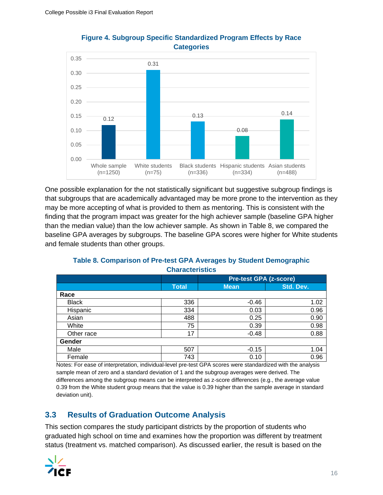

#### **Figure 4. Subgroup Specific Standardized Program Effects by Race Categories**

One possible explanation for the not statistically significant but suggestive subgroup findings is that subgroups that are academically advantaged may be more prone to the intervention as they may be more accepting of what is provided to them as mentoring. This is consistent with the finding that the program impact was greater for the high achiever sample (baseline GPA higher than the median value) than the low achiever sample. As shown in Table 8, we compared the baseline GPA averages by subgroups. The baseline GPA scores were higher for White students and female students than other groups.

|                              |              | <b>Pre-test GPA (z-score)</b>                       |           |  |  |
|------------------------------|--------------|-----------------------------------------------------|-----------|--|--|
|                              | <b>Total</b> | <b>Mean</b>                                         | Std. Dev. |  |  |
| Race                         |              |                                                     |           |  |  |
| <b>Black</b>                 | 336          | $-0.46$                                             | 1.02      |  |  |
| Hispanic                     | 334          | 0.03                                                | 0.96      |  |  |
| Asian                        | 488          | 0.25                                                | 0.90      |  |  |
| White                        | 75           | 0.39                                                | 0.98      |  |  |
| Other race                   | 17           | $-0.48$                                             | 0.88      |  |  |
| Gender                       |              |                                                     |           |  |  |
| Male                         | 507          | $-0.15$                                             | 1.04      |  |  |
| Female<br>.<br>$\sim$ $\sim$ | 743          | 0.10<br>$  -$<br>$\sim$ $\sim$ $\sim$ $\sim$ $\sim$ | 0.96      |  |  |

#### **Table 8. Comparison of Pre-test GPA Averages by Student Demographic Characteristics**

Notes: For ease of interpretation, individual-level pre-test GPA scores were standardized with the analysis sample mean of zero and a standard deviation of 1 and the subgroup averages were derived. The differences among the subgroup means can be interpreted as z-score differences (e.g., the average value 0.39 from the White student group means that the value is 0.39 higher than the sample average in standard deviation unit).

## **3.3 Results of Graduation Outcome Analysis**

This section compares the study participant districts by the proportion of students who graduated high school on time and examines how the proportion was different by treatment status (treatment vs. matched comparison). As discussed earlier, the result is based on the

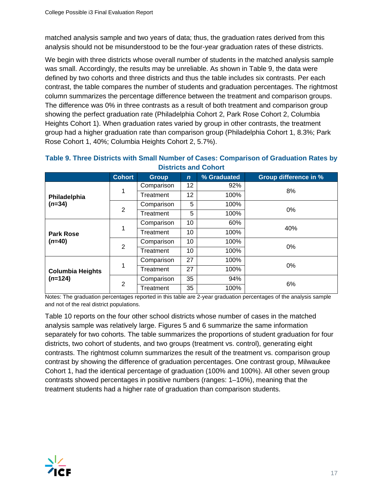matched analysis sample and two years of data; thus, the graduation rates derived from this analysis should not be misunderstood to be the four-year graduation rates of these districts.

We begin with three districts whose overall number of students in the matched analysis sample was small. Accordingly, the results may be unreliable. As shown in Table 9, the data were defined by two cohorts and three districts and thus the table includes six contrasts. Per each contrast, the table compares the number of students and graduation percentages. The rightmost column summarizes the percentage difference between the treatment and comparison groups. The difference was 0% in three contrasts as a result of both treatment and comparison group showing the perfect graduation rate (Philadelphia Cohort 2, Park Rose Cohort 2, Columbia Heights Cohort 1). When graduation rates varied by group in other contrasts, the treatment group had a higher graduation rate than comparison group (Philadelphia Cohort 1, 8.3%; Park Rose Cohort 1, 40%; Columbia Heights Cohort 2, 5.7%).

|                                      | <b>Cohort</b>  | <b>Group</b> | $\mathbf n$ | % Graduated | <b>Group difference in %</b> |
|--------------------------------------|----------------|--------------|-------------|-------------|------------------------------|
|                                      |                | Comparison   | 12          | 92%         |                              |
| Philadelphia                         | 1              | Treatment    | 12          | 100%        | 8%                           |
| $(n=34)$                             |                | Comparison   | 5           | 100%        |                              |
|                                      | $\overline{2}$ | Treatment    | 5           | 100%        | $0\%$                        |
| <b>Park Rose</b>                     |                | Comparison   | 10          | 60%         |                              |
|                                      |                | Treatment    | 10          | 100%        | 40%                          |
| $(n=40)$                             | $\overline{2}$ | Comparison   | 10          | 100%        |                              |
|                                      |                | Treatment    | 10          | 100%        | $0\%$                        |
| <b>Columbia Heights</b><br>$(n=124)$ |                | Comparison   | 27          | 100%        |                              |
|                                      | 1              | Treatment    | 27          | 100%        | 0%                           |
|                                      | 2              | Comparison   | 35          | 94%         |                              |
|                                      |                | Treatment    | 35          | 100%        | 6%                           |

#### **Table 9. Three Districts with Small Number of Cases: Comparison of Graduation Rates by Districts and Cohort**

Notes: The graduation percentages reported in this table are 2-year graduation percentages of the analysis sample and not of the real district populations.

Table 10 reports on the four other school districts whose number of cases in the matched analysis sample was relatively large. Figures 5 and 6 summarize the same information separately for two cohorts. The table summarizes the proportions of student graduation for four districts, two cohort of students, and two groups (treatment vs. control), generating eight contrasts. The rightmost column summarizes the result of the treatment vs. comparison group contrast by showing the difference of graduation percentages. One contrast group, Milwaukee Cohort 1, had the identical percentage of graduation (100% and 100%). All other seven group contrasts showed percentages in positive numbers (ranges: 1–10%), meaning that the treatment students had a higher rate of graduation than comparison students.

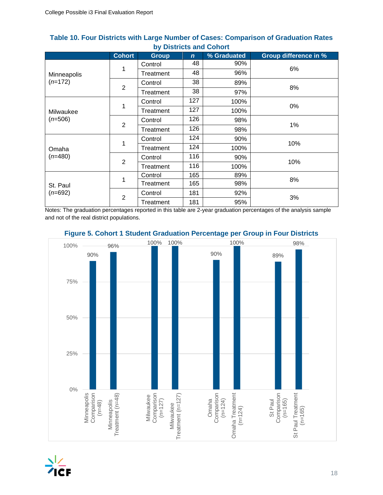|             | <b>Cohort</b>  | <b>Group</b> | $\mathbf n$ | % Graduated | <b>Group difference in %</b> |  |
|-------------|----------------|--------------|-------------|-------------|------------------------------|--|
|             |                | Control      | 48          | 90%         |                              |  |
| Minneapolis | 1              | Treatment    | 48          | 96%         | 6%                           |  |
| $(n=172)$   | $\overline{2}$ | Control      | 38          | 89%         | 8%                           |  |
|             |                | Treatment    | 38          | 97%         |                              |  |
|             |                | Control      | 127         | 100%        | 0%                           |  |
| Milwaukee   | 1              | Treatment    | 127         | 100%        |                              |  |
| $(n=506)$   | $\overline{2}$ | Control      | 126         | 98%         |                              |  |
|             |                | Treatment    | 126         | 98%         | 1%                           |  |
|             | 1              | Control      | 124         | 90%         | 10%                          |  |
| Omaha       |                | Treatment    | 124         | 100%        |                              |  |
| $(n=480)$   |                | Control      | 116         | 90%         |                              |  |
|             | $\overline{2}$ | Treatment    | 116         | 100%        | 10%                          |  |
|             |                | Control      | 165         | 89%         |                              |  |
| St. Paul    | 1              | Treatment    | 165         | 98%         | 8%                           |  |
| $(n=692)$   | $\overline{2}$ | Control      | 181         | 92%         |                              |  |
|             |                | Treatment    | 181         | 95%         | 3%                           |  |

#### **Table 10. Four Districts with Large Number of Cases: Comparison of Graduation Rates by Districts and Cohort**

Notes: The graduation percentages reported in this table are 2-year graduation percentages of the analysis sample and not of the real district populations.



## **Figure 5. Cohort 1 Student Graduation Percentage per Group in Four Districts**

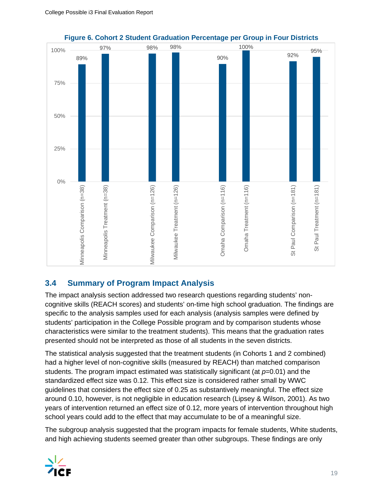

### **Figure 6. Cohort 2 Student Graduation Percentage per Group in Four Districts**

## **3.4 Summary of Program Impact Analysis**

The impact analysis section addressed two research questions regarding students' noncognitive skills (REACH scores) and students' on-time high school graduation. The findings are specific to the analysis samples used for each analysis (analysis samples were defined by students' participation in the College Possible program and by comparison students whose characteristics were similar to the treatment students). This means that the graduation rates presented should not be interpreted as those of all students in the seven districts.

The statistical analysis suggested that the treatment students (in Cohorts 1 and 2 combined) had a higher level of non-cognitive skills (measured by REACH) than matched comparison students. The program impact estimated was statistically significant (at *p*=0.01) and the standardized effect size was 0.12. This effect size is considered rather small by WWC guidelines that considers the effect size of 0.25 as substantively meaningful. The effect size around 0.10, however, is not negligible in education research (Lipsey & Wilson, 2001). As two years of intervention returned an effect size of 0.12, more years of intervention throughout high school years could add to the effect that may accumulate to be of a meaningful size.

The subgroup analysis suggested that the program impacts for female students, White students, and high achieving students seemed greater than other subgroups. These findings are only

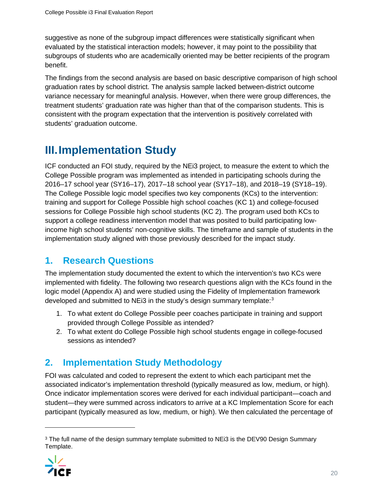suggestive as none of the subgroup impact differences were statistically significant when evaluated by the statistical interaction models; however, it may point to the possibility that subgroups of students who are academically oriented may be better recipients of the program benefit.

The findings from the second analysis are based on basic descriptive comparison of high school graduation rates by school district. The analysis sample lacked between-district outcome variance necessary for meaningful analysis. However, when there were group differences, the treatment students' graduation rate was higher than that of the comparison students. This is consistent with the program expectation that the intervention is positively correlated with students' graduation outcome.

# **III.Implementation Study**

ICF conducted an FOI study, required by the NEi3 project, to measure the extent to which the College Possible program was implemented as intended in participating schools during the 2016–17 school year (SY16–17), 2017–18 school year (SY17–18), and 2018–19 (SY18–19). The College Possible logic model specifies two key components (KCs) to the intervention: training and support for College Possible high school coaches (KC 1) and college-focused sessions for College Possible high school students (KC 2). The program used both KCs to support a college readiness intervention model that was posited to build participating lowincome high school students' non-cognitive skills. The timeframe and sample of students in the implementation study aligned with those previously described for the impact study.

## **1. Research Questions**

The implementation study documented the extent to which the intervention's two KCs were implemented with fidelity. The following two research questions align with the KCs found in the logic model (Appendix A) and were studied using the Fidelity of Implementation framework developed and submitted to NEi[3](#page-19-0) in the study's design summary template:<sup>3</sup>

- 1. To what extent do College Possible peer coaches participate in training and support provided through College Possible as intended?
- 2. To what extent do College Possible high school students engage in college-focused sessions as intended?

## **2. Implementation Study Methodology**

FOI was calculated and coded to represent the extent to which each participant met the associated indicator's implementation threshold (typically measured as low, medium, or high). Once indicator implementation scores were derived for each individual participant—coach and student—they were summed across indicators to arrive at a KC Implementation Score for each participant (typically measured as low, medium, or high). We then calculated the percentage of

<span id="page-19-0"></span><sup>&</sup>lt;sup>3</sup> The full name of the design summary template submitted to NEi3 is the DEV90 Design Summary Template.

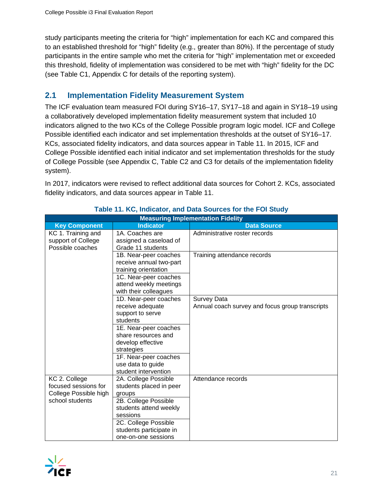study participants meeting the criteria for "high" implementation for each KC and compared this to an established threshold for "high" fidelity (e.g., greater than 80%). If the percentage of study participants in the entire sample who met the criteria for "high" implementation met or exceeded this threshold, fidelity of implementation was considered to be met with "high" fidelity for the DC (see Table C1, Appendix C for details of the reporting system).

## **2.1 Implementation Fidelity Measurement System**

The ICF evaluation team measured FOI during SY16–17, SY17–18 and again in SY18–19 using a collaboratively developed implementation fidelity measurement system that included 10 indicators aligned to the two KCs of the College Possible program logic model. ICF and College Possible identified each indicator and set implementation thresholds at the outset of SY16–17. KCs, associated fidelity indicators, and data sources appear in Table 11. In 2015, ICF and College Possible identified each initial indicator and set implementation thresholds for the study of College Possible (see Appendix C, Table C2 and C3 for details of the implementation fidelity system).

In 2017, indicators were revised to reflect additional data sources for Cohort 2. KCs, associated fidelity indicators, and data sources appear in Table 11.

|                                                                                   |                                                                                                                                                                                                                                    | <b>Measuring Implementation Fidelity</b>                              |
|-----------------------------------------------------------------------------------|------------------------------------------------------------------------------------------------------------------------------------------------------------------------------------------------------------------------------------|-----------------------------------------------------------------------|
| <b>Key Component</b>                                                              | <b>Indicator</b>                                                                                                                                                                                                                   | <b>Data Source</b>                                                    |
| KC 1. Training and<br>support of College<br>Possible coaches                      | 1A. Coaches are<br>assigned a caseload of<br>Grade 11 students                                                                                                                                                                     | Administrative roster records                                         |
|                                                                                   | 1B. Near-peer coaches<br>receive annual two-part<br>training orientation<br>1C. Near-peer coaches<br>attend weekly meetings<br>with their colleagues                                                                               | Training attendance records                                           |
|                                                                                   | 1D. Near-peer coaches<br>receive adequate<br>support to serve<br>students<br>1E. Near-peer coaches<br>share resources and<br>develop effective<br>strategies<br>1F. Near-peer coaches<br>use data to guide<br>student intervention | <b>Survey Data</b><br>Annual coach survey and focus group transcripts |
| KC 2. College<br>focused sessions for<br>College Possible high<br>school students | 2A. College Possible<br>students placed in peer<br>groups<br>2B. College Possible<br>students attend weekly<br>sessions<br>2C. College Possible<br>students participate in<br>one-on-one sessions                                  | Attendance records                                                    |

## **Table 11. KC, Indicator, and Data Sources for the FOI Study**

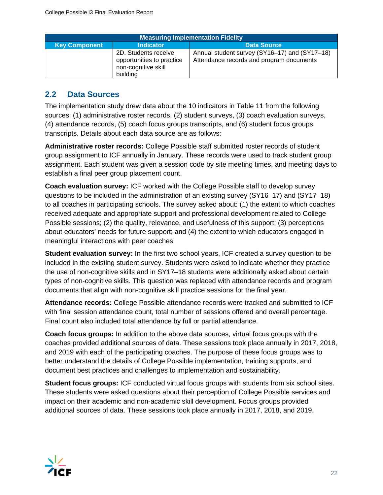| <b>Measuring Implementation Fidelity</b> |                                                                                      |                                                                                           |  |  |  |  |  |  |  |
|------------------------------------------|--------------------------------------------------------------------------------------|-------------------------------------------------------------------------------------------|--|--|--|--|--|--|--|
| <b>Key Component</b>                     | <b>Indicator</b>                                                                     | <b>Data Source</b>                                                                        |  |  |  |  |  |  |  |
|                                          | 2D. Students receive<br>opportunities to practice<br>non-cognitive skill<br>building | Annual student survey (SY16-17) and (SY17-18)<br>Attendance records and program documents |  |  |  |  |  |  |  |

## **2.2 Data Sources**

The implementation study drew data about the 10 indicators in Table 11 from the following sources: (1) administrative roster records, (2) student surveys, (3) coach evaluation surveys, (4) attendance records, (5) coach focus groups transcripts, and (6) student focus groups transcripts. Details about each data source are as follows:

**Administrative roster records:** College Possible staff submitted roster records of student group assignment to ICF annually in January. These records were used to track student group assignment. Each student was given a session code by site meeting times, and meeting days to establish a final peer group placement count.

**Coach evaluation survey:** ICF worked with the College Possible staff to develop survey questions to be included in the administration of an existing survey (SY16–17) and (SY17–18) to all coaches in participating schools. The survey asked about: (1) the extent to which coaches received adequate and appropriate support and professional development related to College Possible sessions; (2) the quality, relevance, and usefulness of this support; (3) perceptions about educators' needs for future support; and (4) the extent to which educators engaged in meaningful interactions with peer coaches.

**Student evaluation survey:** In the first two school years, ICF created a survey question to be included in the existing student survey. Students were asked to indicate whether they practice the use of non-cognitive skills and in SY17–18 students were additionally asked about certain types of non-cognitive skills. This question was replaced with attendance records and program documents that align with non-cognitive skill practice sessions for the final year.

**Attendance records:** College Possible attendance records were tracked and submitted to ICF with final session attendance count, total number of sessions offered and overall percentage. Final count also included total attendance by full or partial attendance.

**Coach focus groups:** In addition to the above data sources, virtual focus groups with the coaches provided additional sources of data. These sessions took place annually in 2017, 2018, and 2019 with each of the participating coaches. The purpose of these focus groups was to better understand the details of College Possible implementation, training supports, and document best practices and challenges to implementation and sustainability.

**Student focus groups:** ICF conducted virtual focus groups with students from six school sites. These students were asked questions about their perception of College Possible services and impact on their academic and non-academic skill development. Focus groups provided additional sources of data. These sessions took place annually in 2017, 2018, and 2019.

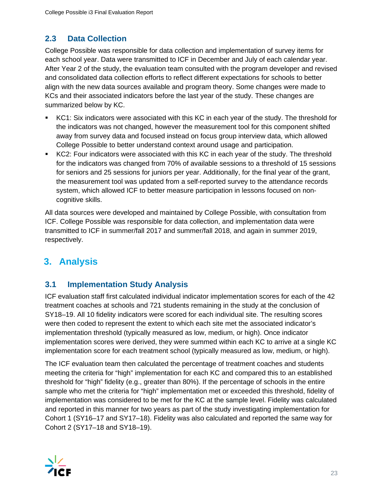## **2.3 Data Collection**

College Possible was responsible for data collection and implementation of survey items for each school year. Data were transmitted to ICF in December and July of each calendar year. After Year 2 of the study, the evaluation team consulted with the program developer and revised and consolidated data collection efforts to reflect different expectations for schools to better align with the new data sources available and program theory. Some changes were made to KCs and their associated indicators before the last year of the study. These changes are summarized below by KC.

- KC1: Six indicators were associated with this KC in each year of the study. The threshold for the indicators was not changed, however the measurement tool for this component shifted away from survey data and focused instead on focus group interview data, which allowed College Possible to better understand context around usage and participation.
- KC2: Four indicators were associated with this KC in each year of the study. The threshold for the indicators was changed from 70% of available sessions to a threshold of 15 sessions for seniors and 25 sessions for juniors per year. Additionally, for the final year of the grant, the measurement tool was updated from a self-reported survey to the attendance records system, which allowed ICF to better measure participation in lessons focused on noncognitive skills.

All data sources were developed and maintained by College Possible, with consultation from ICF. College Possible was responsible for data collection, and implementation data were transmitted to ICF in summer/fall 2017 and summer/fall 2018, and again in summer 2019, respectively.

## **3. Analysis**

## **3.1 Implementation Study Analysis**

ICF evaluation staff first calculated individual indicator implementation scores for each of the 42 treatment coaches at schools and 721 students remaining in the study at the conclusion of SY18–19. All 10 fidelity indicators were scored for each individual site. The resulting scores were then coded to represent the extent to which each site met the associated indicator's implementation threshold (typically measured as low, medium, or high). Once indicator implementation scores were derived, they were summed within each KC to arrive at a single KC implementation score for each treatment school (typically measured as low, medium, or high).

The ICF evaluation team then calculated the percentage of treatment coaches and students meeting the criteria for "high" implementation for each KC and compared this to an established threshold for "high" fidelity (e.g., greater than 80%). If the percentage of schools in the entire sample who met the criteria for "high" implementation met or exceeded this threshold, fidelity of implementation was considered to be met for the KC at the sample level. Fidelity was calculated and reported in this manner for two years as part of the study investigating implementation for Cohort 1 (SY16–17 and SY17–18). Fidelity was also calculated and reported the same way for Cohort 2 (SY17–18 and SY18–19).

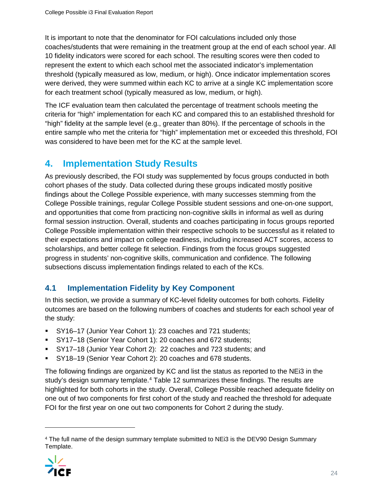It is important to note that the denominator for FOI calculations included only those coaches/students that were remaining in the treatment group at the end of each school year. All 10 fidelity indicators were scored for each school. The resulting scores were then coded to represent the extent to which each school met the associated indicator's implementation threshold (typically measured as low, medium, or high). Once indicator implementation scores were derived, they were summed within each KC to arrive at a single KC implementation score for each treatment school (typically measured as low, medium, or high).

The ICF evaluation team then calculated the percentage of treatment schools meeting the criteria for "high" implementation for each KC and compared this to an established threshold for "high" fidelity at the sample level (e.g., greater than 80%). If the percentage of schools in the entire sample who met the criteria for "high" implementation met or exceeded this threshold, FOI was considered to have been met for the KC at the sample level.

## **4. Implementation Study Results**

As previously described, the FOI study was supplemented by focus groups conducted in both cohort phases of the study. Data collected during these groups indicated mostly positive findings about the College Possible experience, with many successes stemming from the College Possible trainings, regular College Possible student sessions and one-on-one support, and opportunities that come from practicing non-cognitive skills in informal as well as during formal session instruction. Overall, students and coaches participating in focus groups reported College Possible implementation within their respective schools to be successful as it related to their expectations and impact on college readiness, including increased ACT scores, access to scholarships, and better college fit selection. Findings from the focus groups suggested progress in students' non-cognitive skills, communication and confidence. The following subsections discuss implementation findings related to each of the KCs.

## **4.1 Implementation Fidelity by Key Component**

In this section, we provide a summary of KC-level fidelity outcomes for both cohorts. Fidelity outcomes are based on the following numbers of coaches and students for each school year of the study:

- SY16–17 (Junior Year Cohort 1): 23 coaches and 721 students;
- SY17–18 (Senior Year Cohort 1): 20 coaches and 672 students;
- SY17–18 (Junior Year Cohort 2): 22 coaches and 723 students; and
- SY18–19 (Senior Year Cohort 2): 20 coaches and 678 students.

The following findings are organized by KC and list the status as reported to the NEi3 in the study's design summary template.[4](#page-23-0) Table 12 summarizes these findings. The results are highlighted for both cohorts in the study. Overall, College Possible reached adequate fidelity on one out of two components for first cohort of the study and reached the threshold for adequate FOI for the first year on one out two components for Cohort 2 during the study.

<span id="page-23-0"></span><sup>&</sup>lt;sup>4</sup> The full name of the design summary template submitted to NEi3 is the DEV90 Design Summary Template.

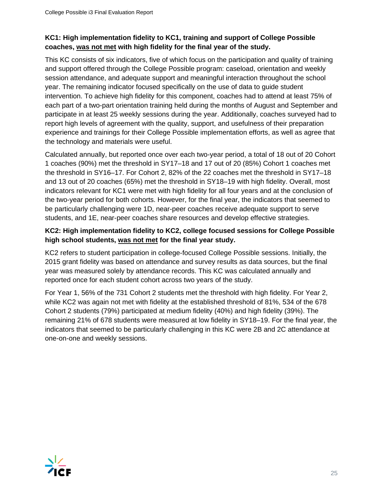### **KC1: High implementation fidelity to KC1, training and support of College Possible coaches, was not met with high fidelity for the final year of the study.**

This KC consists of six indicators, five of which focus on the participation and quality of training and support offered through the College Possible program: caseload, orientation and weekly session attendance, and adequate support and meaningful interaction throughout the school year. The remaining indicator focused specifically on the use of data to guide student intervention. To achieve high fidelity for this component, coaches had to attend at least 75% of each part of a two-part orientation training held during the months of August and September and participate in at least 25 weekly sessions during the year. Additionally, coaches surveyed had to report high levels of agreement with the quality, support, and usefulness of their preparation experience and trainings for their College Possible implementation efforts, as well as agree that the technology and materials were useful.

Calculated annually, but reported once over each two-year period, a total of 18 out of 20 Cohort 1 coaches (90%) met the threshold in SY17–18 and 17 out of 20 (85%) Cohort 1 coaches met the threshold in SY16–17. For Cohort 2, 82% of the 22 coaches met the threshold in SY17–18 and 13 out of 20 coaches (65%) met the threshold in SY18–19 with high fidelity. Overall, most indicators relevant for KC1 were met with high fidelity for all four years and at the conclusion of the two-year period for both cohorts. However, for the final year, the indicators that seemed to be particularly challenging were 1D, near-peer coaches receive adequate support to serve students, and 1E, near-peer coaches share resources and develop effective strategies.

### **KC2: High implementation fidelity to KC2, college focused sessions for College Possible high school students, was not met for the final year study.**

KC2 refers to student participation in college-focused College Possible sessions. Initially, the 2015 grant fidelity was based on attendance and survey results as data sources, but the final year was measured solely by attendance records. This KC was calculated annually and reported once for each student cohort across two years of the study.

For Year 1, 56% of the 731 Cohort 2 students met the threshold with high fidelity. For Year 2, while KC2 was again not met with fidelity at the established threshold of 81%, 534 of the 678 Cohort 2 students (79%) participated at medium fidelity (40%) and high fidelity (39%). The remaining 21% of 678 students were measured at low fidelity in SY18–19. For the final year, the indicators that seemed to be particularly challenging in this KC were 2B and 2C attendance at one-on-one and weekly sessions.

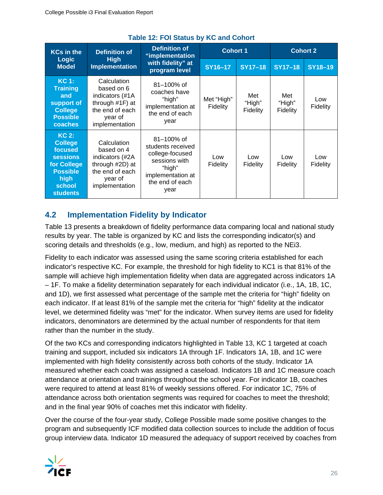| <b>KCs in the</b>                                                                                                              | <b>Definition of</b>                                                                                               | <b>Definition of</b><br>"implementation                                                                                            | <b>Cohort 1</b>        |                           | <b>Cohort 2</b>           |                        |  |
|--------------------------------------------------------------------------------------------------------------------------------|--------------------------------------------------------------------------------------------------------------------|------------------------------------------------------------------------------------------------------------------------------------|------------------------|---------------------------|---------------------------|------------------------|--|
| <b>Logic</b><br><b>Model</b>                                                                                                   | <b>High</b><br><b>Implementation</b>                                                                               | with fidelity" at<br>program level                                                                                                 | SY16-17                | <b>SY17-18</b>            | $SY17-18$                 | <b>SY18-19</b>         |  |
| KC 1:<br><b>Training</b><br>and<br>support of<br><b>College</b><br><b>Possible</b><br>coaches                                  | Calculation<br>based on 6<br>indicators (#1A<br>through $#1F$ ) at<br>the end of each<br>year of<br>implementation | $81 - 100\%$ of<br>coaches have<br>"high"<br>implementation at<br>the end of each<br>year                                          | Met "High"<br>Fidelity | Met<br>"High"<br>Fidelity | Met<br>"High"<br>Fidelity | Low<br>Fidelity        |  |
| $KC2$ :<br><b>College</b><br>focused<br><b>sessions</b><br>for College<br><b>Possible</b><br>high<br>school<br><b>students</b> | Calculation<br>based on 4<br>indicators (#2A<br>through #2D) at<br>the end of each<br>year of<br>implementation    | $81 - 100\%$ of<br>students received<br>college-focused<br>sessions with<br>"high"<br>implementation at<br>the end of each<br>year | Low<br>Fidelity        | Low<br>Fidelity           | Low<br>Fidelity           | Low<br><b>Fidelity</b> |  |

## **Table 12: FOI Status by KC and Cohort**

## **4.2 Implementation Fidelity by Indicator**

Table 13 presents a breakdown of fidelity performance data comparing local and national study results by year. The table is organized by KC and lists the corresponding indicator(s) and scoring details and thresholds (e.g., low, medium, and high) as reported to the NEi3.

Fidelity to each indicator was assessed using the same scoring criteria established for each indicator's respective KC. For example, the threshold for high fidelity to KC1 is that 81% of the sample will achieve high implementation fidelity when data are aggregated across indicators 1A – 1F. To make a fidelity determination separately for each individual indicator (i.e., 1A, 1B, 1C, and 1D), we first assessed what percentage of the sample met the criteria for "high" fidelity on each indicator. If at least 81% of the sample met the criteria for "high" fidelity at the indicator level, we determined fidelity was "met" for the indicator. When survey items are used for fidelity indicators, denominators are determined by the actual number of respondents for that item rather than the number in the study.

Of the two KCs and corresponding indicators highlighted in Table 13, KC 1 targeted at coach training and support, included six indicators 1A through 1F. Indicators 1A, 1B, and 1C were implemented with high fidelity consistently across both cohorts of the study. Indicator 1A measured whether each coach was assigned a caseload. Indicators 1B and 1C measure coach attendance at orientation and trainings throughout the school year. For indicator 1B, coaches were required to attend at least 81% of weekly sessions offered. For indicator 1C, 75% of attendance across both orientation segments was required for coaches to meet the threshold; and in the final year 90% of coaches met this indicator with fidelity.

Over the course of the four-year study, College Possible made some positive changes to the program and subsequently ICF modified data collection sources to include the addition of focus group interview data. Indicator 1D measured the adequacy of support received by coaches from

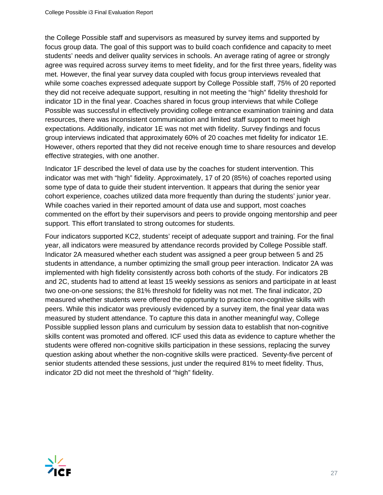the College Possible staff and supervisors as measured by survey items and supported by focus group data. The goal of this support was to build coach confidence and capacity to meet students' needs and deliver quality services in schools. An average rating of agree or strongly agree was required across survey items to meet fidelity, and for the first three years, fidelity was met. However, the final year survey data coupled with focus group interviews revealed that while some coaches expressed adequate support by College Possible staff, 75% of 20 reported they did not receive adequate support, resulting in not meeting the "high" fidelity threshold for indicator 1D in the final year. Coaches shared in focus group interviews that while College Possible was successful in effectively providing college entrance examination training and data resources, there was inconsistent communication and limited staff support to meet high expectations. Additionally, indicator 1E was not met with fidelity. Survey findings and focus group interviews indicated that approximately 60% of 20 coaches met fidelity for indicator 1E. However, others reported that they did not receive enough time to share resources and develop effective strategies, with one another.

Indicator 1F described the level of data use by the coaches for student intervention. This indicator was met with "high" fidelity. Approximately, 17 of 20 (85%) of coaches reported using some type of data to guide their student intervention. It appears that during the senior year cohort experience, coaches utilized data more frequently than during the students' junior year. While coaches varied in their reported amount of data use and support, most coaches commented on the effort by their supervisors and peers to provide ongoing mentorship and peer support. This effort translated to strong outcomes for students.

Four indicators supported KC2, students' receipt of adequate support and training. For the final year, all indicators were measured by attendance records provided by College Possible staff. Indicator 2A measured whether each student was assigned a peer group between 5 and 25 students in attendance, a number optimizing the small group peer interaction. Indicator 2A was implemented with high fidelity consistently across both cohorts of the study. For indicators 2B and 2C, students had to attend at least 15 weekly sessions as seniors and participate in at least two one-on-one sessions; the 81% threshold for fidelity was not met. The final indicator, 2D measured whether students were offered the opportunity to practice non-cognitive skills with peers. While this indicator was previously evidenced by a survey item, the final year data was measured by student attendance. To capture this data in another meaningful way, College Possible supplied lesson plans and curriculum by session data to establish that non-cognitive skills content was promoted and offered. ICF used this data as evidence to capture whether the students were offered non-cognitive skills participation in these sessions, replacing the survey question asking about whether the non-cognitive skills were practiced. Seventy-five percent of senior students attended these sessions, just under the required 81% to meet fidelity. Thus, indicator 2D did not meet the threshold of "high" fidelity.

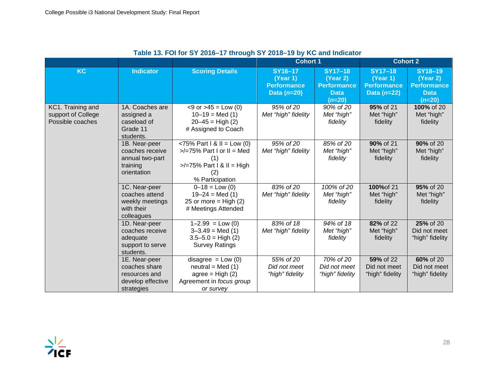|                                                             |                                                                                    |                                                                                                                                  | <b>Cohort 1</b>                                            |                                                                             | <b>Cohort 2</b>                                                   |                                                                             |  |
|-------------------------------------------------------------|------------------------------------------------------------------------------------|----------------------------------------------------------------------------------------------------------------------------------|------------------------------------------------------------|-----------------------------------------------------------------------------|-------------------------------------------------------------------|-----------------------------------------------------------------------------|--|
| <b>KC</b>                                                   | <b>Indicator</b>                                                                   | <b>Scoring Details</b>                                                                                                           | SY16-17<br>(Year 1)<br><b>Performance</b><br>Data $(n=20)$ | <b>SY17-18</b><br>(Year 2)<br><b>Performance</b><br><b>Data</b><br>$(n=20)$ | <b>SY17-18</b><br>(Year 1)<br><b>Performance</b><br>Data $(n=22)$ | <b>SY18-19</b><br>(Year 2)<br><b>Performance</b><br><b>Data</b><br>$(n=20)$ |  |
| KC1. Training and<br>support of College<br>Possible coaches | 1A. Coaches are<br>assigned a<br>caseload of<br>Grade 11<br>students.              | $<$ 9 or $>$ 45 = Low (0)<br>$10-19 = Med(1)$<br>$20 - 45 =$ High (2)<br># Assigned to Coach                                     | 95% of 20<br>Met "high" fidelity                           | 90% of 20<br>Met "high"<br>fidelity                                         | 95% of 21<br>Met "high"<br>fidelity                               | 100% of 20<br>Met "high"<br>fidelity                                        |  |
|                                                             | 1B. Near-peer<br>coaches receive<br>annual two-part<br>training<br>orientation     | <75% Part $1 & 1 = Low (0)$<br>$\ge$ /=75% Part I or II = Med<br>(1)<br>$\ge$ /=75% Part I & II = High<br>(2)<br>% Participation | 95% of 20<br>Met "high" fidelity                           | 85% of 20<br>Met "high"<br>fidelity                                         | 90% of 21<br>Met "high"<br>fidelity                               | 90% of 20<br>Met "high"<br>fidelity                                         |  |
|                                                             | 1C. Near-peer<br>coaches attend<br>weekly meetings<br>with their<br>colleagues     | $0 - 18 =$ Low (0)<br>$19 - 24 = Med(1)$<br>25 or more = $High (2)$<br># Meetings Attended                                       | 83% of 20<br>Met "high" fidelity                           | 100% of 20<br>Met "high"<br>fidelity                                        | 100% of 21<br>Met "high"<br>fidelity                              | 95% of 20<br>Met "high"<br>fidelity                                         |  |
|                                                             | 1D. Near-peer<br>coaches receive<br>adequate<br>support to serve<br>students.      | $1 - 2.99 = Low(0)$<br>$3 - 3.49 = Med(1)$<br>$3.5 - 5.0 = High (2)$<br><b>Survey Ratings</b>                                    | 83% of 18<br>Met "high" fidelity                           | 94% of 18<br>Met "high"<br>fidelity                                         | 82% of 22<br>Met "high"<br>fidelity                               | 25% of 20<br>Did not meet<br>"high" fidelity                                |  |
|                                                             | 1E. Near-peer<br>coaches share<br>resources and<br>develop effective<br>strategies | $disagree = Low (0)$<br>$neutral = Med(1)$<br>$agree = High (2)$<br>Agreement in focus group<br>or survey                        | 55% of 20<br>Did not meet<br>"high" fidelity               | 70% of 20<br>Did not meet<br>"high" fidelity                                | 59% of 22<br>Did not meet<br>"high" fidelity                      | 60% of 20<br>Did not meet<br>"high" fidelity                                |  |

#### **Table 13. FOI for SY 2016–17 through SY 2018–19 by KC and Indicator**

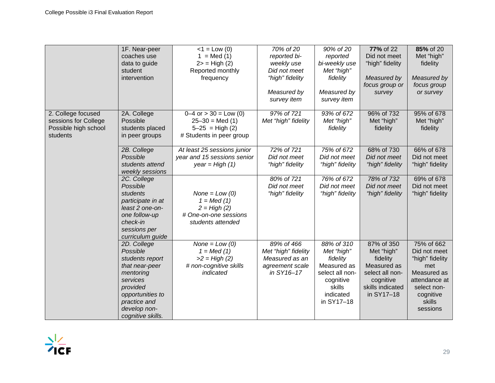|                      | 1F. Near-peer               | $<1 =$ Low (0)                                   | 70% of 20                             | 90% of 20                       | 77% of 22                       | 85% of 20                       |
|----------------------|-----------------------------|--------------------------------------------------|---------------------------------------|---------------------------------|---------------------------------|---------------------------------|
|                      | coaches use                 | $1 = Med(1)$                                     | reported bi-                          | reported                        | Did not meet                    | Met "high"                      |
|                      | data to guide               | $2$ = High $(2)$                                 | weekly use                            | bi-weekly use                   | "high" fidelity                 | fidelity                        |
|                      | student                     | Reported monthly                                 | Did not meet                          | Met "high"                      |                                 |                                 |
|                      | intervention                | frequency                                        | "high" fidelity                       | fidelity                        | Measured by                     | Measured by                     |
|                      |                             |                                                  | Measured by                           | Measured by                     | focus group or                  | focus group                     |
|                      |                             |                                                  | survey item                           | survey item                     | survey                          | or survey                       |
|                      |                             |                                                  |                                       |                                 |                                 |                                 |
| 2. College focused   | 2A. College                 | $0-4$ or $> 30 =$ Low (0)                        | 97% of 721                            | 93% of 672                      | 96% of 732                      | 95% of 678                      |
| sessions for College | Possible                    | $25 - 30 = Med(1)$                               | Met "high" fidelity                   | Met "high"                      | Met "high"                      | Met "high"                      |
| Possible high school | students placed             | $5 - 25 = High (2)$                              |                                       | fidelity                        | fidelity                        | fidelity                        |
| students             | in peer groups              | # Students in peer group                         |                                       |                                 |                                 |                                 |
|                      |                             |                                                  |                                       |                                 |                                 |                                 |
|                      | 2B. College<br>Possible     | At least 25 sessions junior                      | 72% of 721                            | 75% of 672                      | 68% of 730                      | 66% of 678                      |
|                      | students attend             | year and 15 sessions senior<br>year = High $(1)$ | Did not meet<br>"high" fidelity       | Did not meet<br>"high" fidelity | Did not meet<br>"high" fidelity | Did not meet<br>"high" fidelity |
|                      | weekly sessions             |                                                  |                                       |                                 |                                 |                                 |
|                      | 2C. College                 |                                                  | 80% of 721                            | 76% of 672                      | 78% of 732                      | 69% of 678                      |
|                      | Possible                    |                                                  | Did not meet                          | Did not meet                    | Did not meet                    | Did not meet                    |
|                      | students                    | $None = Low (0)$                                 | "high" fidelity                       | "high" fidelity                 | "high" fidelity                 | "high" fidelity                 |
|                      | participate in at           | $1 = Med(1)$                                     |                                       |                                 |                                 |                                 |
|                      | least 2 one-on-             | $2 = High (2)$                                   |                                       |                                 |                                 |                                 |
|                      | one follow-up               | # One-on-one sessions                            |                                       |                                 |                                 |                                 |
|                      | check-in                    | students attended                                |                                       |                                 |                                 |                                 |
|                      | sessions per                |                                                  |                                       |                                 |                                 |                                 |
|                      | curriculum guide            |                                                  |                                       |                                 |                                 |                                 |
|                      | 2D. College                 | $None = Low (0)$                                 | 89% of 466                            | 88% of 310                      | 87% of 350                      | 75% of 662                      |
|                      | Possible<br>students report | $1 = Med(1)$<br>$>2 = High (2)$                  | Met "high" fidelity<br>Measured as an | Met "high"<br>fidelity          | Met "high"<br>fidelity          | Did not meet<br>"high" fidelity |
|                      | that near-peer              | # non-cognitive skills                           | agreement scale                       | Measured as                     | Measured as                     | met                             |
|                      | mentoring                   | indicated                                        | in SY16-17                            | select all non-                 | select all non-                 | Measured as                     |
|                      | services                    |                                                  |                                       | cognitive                       | cognitive                       | attendance at                   |
|                      | provided                    |                                                  |                                       | skills                          | skills indicated                | select non-                     |
|                      | opportunities to            |                                                  |                                       | indicated                       | in SY17-18                      | cognitive                       |
|                      | practice and                |                                                  |                                       | in SY17-18                      |                                 | skills                          |
|                      | develop non-                |                                                  |                                       |                                 |                                 | sessions                        |
|                      | cognitive skills.           |                                                  |                                       |                                 |                                 |                                 |

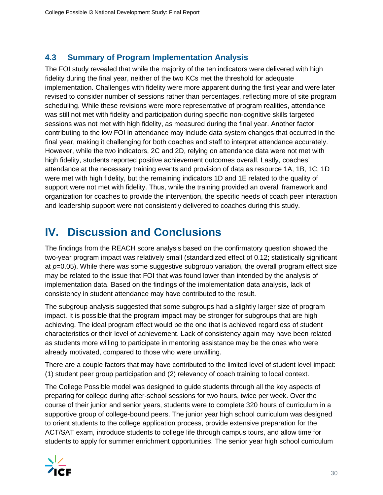## **4.3 Summary of Program Implementation Analysis**

The FOI study revealed that while the majority of the ten indicators were delivered with high fidelity during the final year, neither of the two KCs met the threshold for adequate implementation. Challenges with fidelity were more apparent during the first year and were later revised to consider number of sessions rather than percentages, reflecting more of site program scheduling. While these revisions were more representative of program realities, attendance was still not met with fidelity and participation during specific non-cognitive skills targeted sessions was not met with high fidelity, as measured during the final year. Another factor contributing to the low FOI in attendance may include data system changes that occurred in the final year, making it challenging for both coaches and staff to interpret attendance accurately. However, while the two indicators, 2C and 2D, relying on attendance data were not met with high fidelity, students reported positive achievement outcomes overall. Lastly, coaches' attendance at the necessary training events and provision of data as resource 1A, 1B, 1C, 1D were met with high fidelity, but the remaining indicators 1D and 1E related to the quality of support were not met with fidelity. Thus, while the training provided an overall framework and organization for coaches to provide the intervention, the specific needs of coach peer interaction and leadership support were not consistently delivered to coaches during this study.

# **IV. Discussion and Conclusions**

The findings from the REACH score analysis based on the confirmatory question showed the two-year program impact was relatively small (standardized effect of 0.12; statistically significant at *p*=0.05). While there was some suggestive subgroup variation, the overall program effect size may be related to the issue that FOI that was found lower than intended by the analysis of implementation data. Based on the findings of the implementation data analysis, lack of consistency in student attendance may have contributed to the result.

The subgroup analysis suggested that some subgroups had a slightly larger size of program impact. It is possible that the program impact may be stronger for subgroups that are high achieving. The ideal program effect would be the one that is achieved regardless of student characteristics or their level of achievement. Lack of consistency again may have been related as students more willing to participate in mentoring assistance may be the ones who were already motivated, compared to those who were unwilling.

There are a couple factors that may have contributed to the limited level of student level impact: (1) student peer group participation and (2) relevancy of coach training to local context.

The College Possible model was designed to guide students through all the key aspects of preparing for college during after-school sessions for two hours, twice per week. Over the course of their junior and senior years, students were to complete 320 hours of curriculum in a supportive group of college-bound peers. The junior year high school curriculum was designed to orient students to the college application process, provide extensive preparation for the ACT/SAT exam, introduce students to college life through campus tours, and allow time for students to apply for summer enrichment opportunities. The senior year high school curriculum

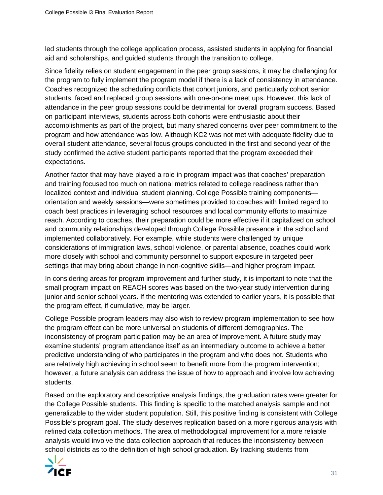led students through the college application process, assisted students in applying for financial aid and scholarships, and guided students through the transition to college.

Since fidelity relies on student engagement in the peer group sessions, it may be challenging for the program to fully implement the program model if there is a lack of consistency in attendance. Coaches recognized the scheduling conflicts that cohort juniors, and particularly cohort senior students, faced and replaced group sessions with one-on-one meet ups. However, this lack of attendance in the peer group sessions could be detrimental for overall program success. Based on participant interviews, students across both cohorts were enthusiastic about their accomplishments as part of the project, but many shared concerns over peer commitment to the program and how attendance was low. Although KC2 was not met with adequate fidelity due to overall student attendance, several focus groups conducted in the first and second year of the study confirmed the active student participants reported that the program exceeded their expectations.

Another factor that may have played a role in program impact was that coaches' preparation and training focused too much on national metrics related to college readiness rather than localized context and individual student planning. College Possible training components orientation and weekly sessions—were sometimes provided to coaches with limited regard to coach best practices in leveraging school resources and local community efforts to maximize reach. According to coaches, their preparation could be more effective if it capitalized on school and community relationships developed through College Possible presence in the school and implemented collaboratively. For example, while students were challenged by unique considerations of immigration laws, school violence, or parental absence, coaches could work more closely with school and community personnel to support exposure in targeted peer settings that may bring about change in non-cognitive skills—and higher program impact.

In considering areas for program improvement and further study, it is important to note that the small program impact on REACH scores was based on the two-year study intervention during junior and senior school years. If the mentoring was extended to earlier years, it is possible that the program effect, if cumulative, may be larger.

College Possible program leaders may also wish to review program implementation to see how the program effect can be more universal on students of different demographics. The inconsistency of program participation may be an area of improvement. A future study may examine students' program attendance itself as an intermediary outcome to achieve a better predictive understanding of who participates in the program and who does not. Students who are relatively high achieving in school seem to benefit more from the program intervention; however, a future analysis can address the issue of how to approach and involve low achieving students.

Based on the exploratory and descriptive analysis findings, the graduation rates were greater for the College Possible students. This finding is specific to the matched analysis sample and not generalizable to the wider student population. Still, this positive finding is consistent with College Possible's program goal. The study deserves replication based on a more rigorous analysis with refined data collection methods. The area of methodological improvement for a more reliable analysis would involve the data collection approach that reduces the inconsistency between school districts as to the definition of high school graduation. By tracking students from

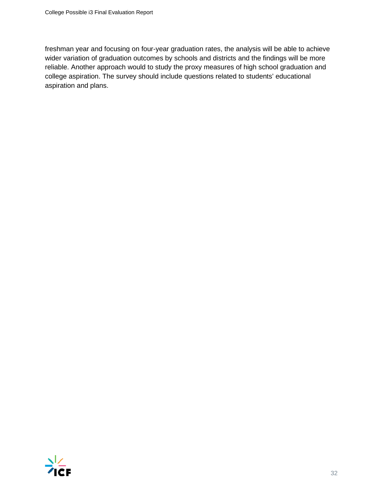freshman year and focusing on four-year graduation rates, the analysis will be able to achieve wider variation of graduation outcomes by schools and districts and the findings will be more reliable. Another approach would to study the proxy measures of high school graduation and college aspiration. The survey should include questions related to students' educational aspiration and plans.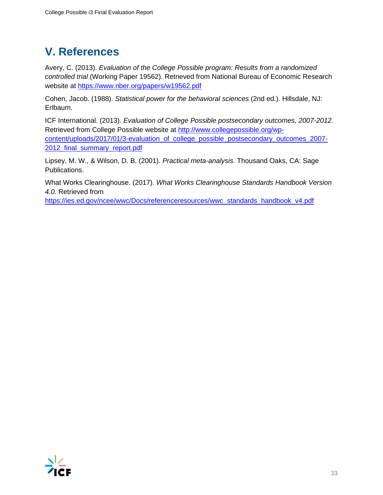# **V. References**

Avery, C. (2013). *Evaluation of the College Possible program: Results from a randomized controlled trial* (Working Paper 19562). Retrieved from National Bureau of Economic Research website at<https://www.nber.org/papers/w19562.pdf>

Cohen, Jacob. (1988). *Statistical power for the behavioral sciences* (2nd ed.). Hillsdale, NJ: Erlbaum.

ICF International. (2013). *Evaluation of College Possible postsecondary outcomes, 2007-2012.* Retrieved from College Possible website at [http://www.collegepossible.org/wp](http://www.collegepossible.org/wp-content/uploads/2017/01/3-evaluation_of_college_possible_postsecondary_outcomes_2007-2012_final_summary_report.pdf)[content/uploads/2017/01/3-evaluation\\_of\\_college\\_possible\\_postsecondary\\_outcomes\\_2007-](http://www.collegepossible.org/wp-content/uploads/2017/01/3-evaluation_of_college_possible_postsecondary_outcomes_2007-2012_final_summary_report.pdf) [2012\\_final\\_summary\\_report.pdf](http://www.collegepossible.org/wp-content/uploads/2017/01/3-evaluation_of_college_possible_postsecondary_outcomes_2007-2012_final_summary_report.pdf)

Lipsey, M. W., & Wilson, D. B. (2001). *Practical meta-analysis.* Thousand Oaks, CA: Sage Publications.

What Works Clearinghouse. (2017). *What Works Clearinghouse Standards Handbook Version 4.0.* Retrieved from

[https://ies.ed.gov/ncee/wwc/Docs/referenceresources/wwc\\_standards\\_handbook\\_v4.pdf](https://ies.ed.gov/ncee/wwc/Docs/referenceresources/wwc_standards_handbook_v4.pdf)

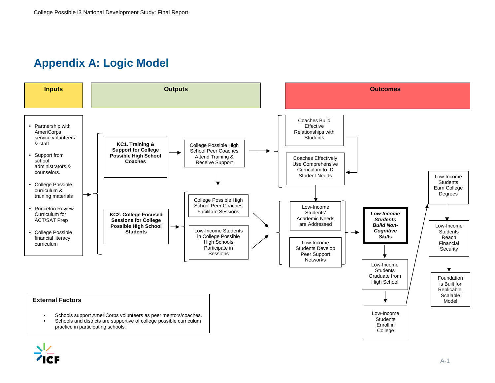# **Appendix A: Logic Model**



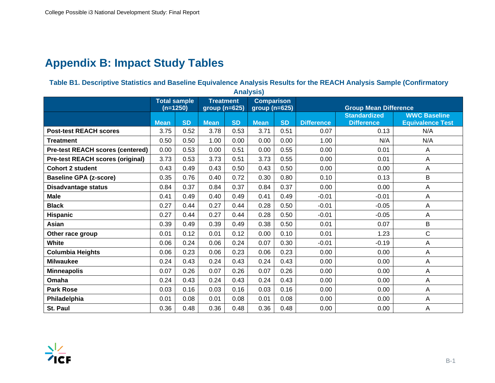# **Appendix B: Impact Study Tables**

#### **Table B1. Descriptive Statistics and Baseline Equivalence Analysis Results for the REACH Analysis Sample (Confirmatory**

| <b>Analysis)</b>                        |             |                     |                  |           |                   |           |                                                                            |                   |                         |  |  |  |
|-----------------------------------------|-------------|---------------------|------------------|-----------|-------------------|-----------|----------------------------------------------------------------------------|-------------------|-------------------------|--|--|--|
|                                         |             | <b>Total sample</b> | <b>Treatment</b> |           | <b>Comparison</b> |           |                                                                            |                   |                         |  |  |  |
|                                         |             | $(n=1250)$          | group (n=625)    |           | $group(n=625)$    |           | <b>Group Mean Difference</b><br><b>WWC Baseline</b><br><b>Standardized</b> |                   |                         |  |  |  |
|                                         | <b>Mean</b> | <b>SD</b>           | <b>Mean</b>      | <b>SD</b> | <b>Mean</b>       | <b>SD</b> | <b>Difference</b>                                                          | <b>Difference</b> | <b>Equivalence Test</b> |  |  |  |
| <b>Post-test REACH scores</b>           | 3.75        | 0.52                | 3.78             | 0.53      | 3.71              | 0.51      | 0.07                                                                       | 0.13              | N/A                     |  |  |  |
| <b>Treatment</b>                        | 0.50        | 0.50                | 1.00             | 0.00      | 0.00              | 0.00      | 1.00                                                                       | N/A               | N/A                     |  |  |  |
| <b>Pre-test REACH scores (centered)</b> | 0.00        | 0.53                | 0.00             | 0.51      | 0.00              | 0.55      | 0.00                                                                       | 0.01              | A                       |  |  |  |
| <b>Pre-test REACH scores (original)</b> | 3.73        | 0.53                | 3.73             | 0.51      | 3.73              | 0.55      | 0.00                                                                       | 0.01              | A                       |  |  |  |
| <b>Cohort 2 student</b>                 | 0.43        | 0.49                | 0.43             | 0.50      | 0.43              | 0.50      | 0.00                                                                       | 0.00              | Α                       |  |  |  |
| <b>Baseline GPA (z-score)</b>           | 0.35        | 0.76                | 0.40             | 0.72      | 0.30              | 0.80      | 0.10                                                                       | 0.13              | B                       |  |  |  |
| <b>Disadvantage status</b>              | 0.84        | 0.37                | 0.84             | 0.37      | 0.84              | 0.37      | 0.00                                                                       | 0.00              | A                       |  |  |  |
| <b>Male</b>                             | 0.41        | 0.49                | 0.40             | 0.49      | 0.41              | 0.49      | $-0.01$                                                                    | $-0.01$           | A                       |  |  |  |
| <b>Black</b>                            | 0.27        | 0.44                | 0.27             | 0.44      | 0.28              | 0.50      | $-0.01$                                                                    | $-0.05$           | A                       |  |  |  |
| <b>Hispanic</b>                         | 0.27        | 0.44                | 0.27             | 0.44      | 0.28              | 0.50      | $-0.01$                                                                    | $-0.05$           | A                       |  |  |  |
| Asian                                   | 0.39        | 0.49                | 0.39             | 0.49      | 0.38              | 0.50      | 0.01                                                                       | 0.07              | B                       |  |  |  |
| Other race group                        | 0.01        | 0.12                | 0.01             | 0.12      | 0.00              | 0.10      | 0.01                                                                       | 1.23              | $\mathsf{C}$            |  |  |  |
| <b>White</b>                            | 0.06        | 0.24                | 0.06             | 0.24      | 0.07              | 0.30      | $-0.01$                                                                    | $-0.19$           | Α                       |  |  |  |
| <b>Columbia Heights</b>                 | 0.06        | 0.23                | 0.06             | 0.23      | 0.06              | 0.23      | 0.00                                                                       | 0.00              | A                       |  |  |  |
| <b>Milwaukee</b>                        | 0.24        | 0.43                | 0.24             | 0.43      | 0.24              | 0.43      | 0.00                                                                       | 0.00              | A                       |  |  |  |
| <b>Minneapolis</b>                      | 0.07        | 0.26                | 0.07             | 0.26      | 0.07              | 0.26      | 0.00                                                                       | 0.00              | A                       |  |  |  |
| Omaha                                   | 0.24        | 0.43                | 0.24             | 0.43      | 0.24              | 0.43      | 0.00                                                                       | 0.00              | A                       |  |  |  |
| <b>Park Rose</b>                        | 0.03        | 0.16                | 0.03             | 0.16      | 0.03              | 0.16      | 0.00                                                                       | 0.00              | A                       |  |  |  |
| Philadelphia                            | 0.01        | 0.08                | 0.01             | 0.08      | 0.01              | 0.08      | 0.00                                                                       | 0.00              | A                       |  |  |  |
| St. Paul                                | 0.36        | 0.48                | 0.36             | 0.48      | 0.36              | 0.48      | 0.00                                                                       | 0.00              | $\overline{A}$          |  |  |  |

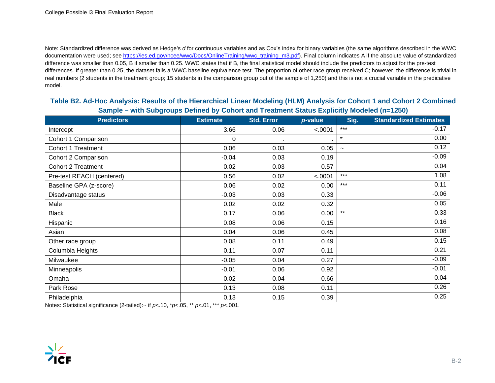Note: Standardized difference was derived as Hedge's *d* for continuous variables and as Cox's index for binary variables (the same algorithms described in the WWC documentation were used; see [https://ies.ed.gov/ncee/wwc/Docs/OnlineTraining/wwc\\_training\\_m3.pdf\)](https://ies.ed.gov/ncee/wwc/Docs/OnlineTraining/wwc_training_m3.pdf). Final column indicates A if the absolute value of standardized difference was smaller than 0.05, B if smaller than 0.25. WWC states that if B, the final statistical model should include the predictors to adjust for the pre-test differences. If greater than 0.25, the dataset fails a WWC baseline equivalence test. The proportion of other race group received C; however, the difference is trivial in real numbers (2 students in the treatment group; 15 students in the comparison group out of the sample of 1,250) and this is not a crucial variable in the predicative model.

#### **Table B2. Ad-Hoc Analysis: Results of the Hierarchical Linear Modeling (HLM) Analysis for Cohort 1 and Cohort 2 Combined Sample – with Subgroups Defined by Cohort and Treatment Status Explicitly Modeled (n=1250)**

| <b>Predictors</b>         | <b>Estimate</b> | <b>Std. Error</b> | p-value | Sig.       | <b>Standardized Estimates</b> |
|---------------------------|-----------------|-------------------|---------|------------|-------------------------------|
| Intercept                 | 3.66            | 0.06              | < .0001 | $***$      | $-0.17$                       |
| Cohort 1 Comparison       | 0               |                   |         | $\star$    | 0.00                          |
| <b>Cohort 1 Treatment</b> | 0.06            | 0.03              | 0.05    | $\tilde{}$ | 0.12                          |
| Cohort 2 Comparison       | $-0.04$         | 0.03              | 0.19    |            | $-0.09$                       |
| <b>Cohort 2 Treatment</b> | 0.02            | 0.03              | 0.57    |            | 0.04                          |
| Pre-test REACH (centered) | 0.56            | 0.02              | < .0001 | $***$      | 1.08                          |
| Baseline GPA (z-score)    | 0.06            | 0.02              | 0.00    | $***$      | 0.11                          |
| Disadvantage status       | $-0.03$         | 0.03              | 0.33    |            | $-0.06$                       |
| Male                      | 0.02            | 0.02              | 0.32    |            | 0.05                          |
| <b>Black</b>              | 0.17            | 0.06              | 0.00    | $***$      | 0.33                          |
| Hispanic                  | 0.08            | 0.06              | 0.15    |            | 0.16                          |
| Asian                     | 0.04            | 0.06              | 0.45    |            | 0.08                          |
| Other race group          | 0.08            | 0.11              | 0.49    |            | 0.15                          |
| Columbia Heights          | 0.11            | 0.07              | 0.11    |            | 0.21                          |
| Milwaukee                 | $-0.05$         | 0.04              | 0.27    |            | $-0.09$                       |
| Minneapolis               | $-0.01$         | 0.06              | 0.92    |            | $-0.01$                       |
| Omaha                     | $-0.02$         | 0.04              | 0.66    |            | $-0.04$                       |
| Park Rose                 | 0.13            | 0.08              | 0.11    |            | 0.26                          |
| Philadelphia              | 0.13            | 0.15              | 0.39    |            | 0.25                          |

Notes: Statistical significance (2-tailed):~ if *p*<.10, \**p<*.05, \*\* *p<*.01, \*\*\* *p<*.001.

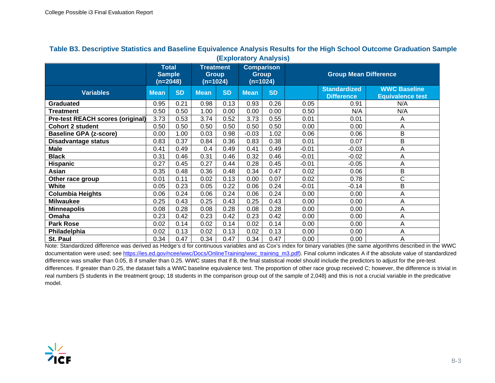| (EXPIVIALUI Y MIIAIYSIS)                |                                             |           |                                              |           |                                               |           |                              |                                          |                                                |  |
|-----------------------------------------|---------------------------------------------|-----------|----------------------------------------------|-----------|-----------------------------------------------|-----------|------------------------------|------------------------------------------|------------------------------------------------|--|
|                                         | <b>Total</b><br><b>Sample</b><br>$(n=2048)$ |           | <b>Treatment</b><br><b>Group</b><br>(n=1024) |           | <b>Comparison</b><br><b>Group</b><br>(n=1024) |           | <b>Group Mean Difference</b> |                                          |                                                |  |
| <b>Variables</b>                        | <b>Mean</b>                                 | <b>SD</b> | <b>Mean</b>                                  | <b>SD</b> | <b>Mean</b>                                   | <b>SD</b> |                              | <b>Standardized</b><br><b>Difference</b> | <b>WWC Baseline</b><br><b>Equivalence test</b> |  |
| <b>Graduated</b>                        | 0.95                                        | 0.21      | 0.98                                         | 0.13      | 0.93                                          | 0.26      | 0.05                         | 0.91                                     | N/A                                            |  |
| <b>Treatment</b>                        | 0.50                                        | 0.50      | 1.00                                         | 0.00      | 0.00                                          | 0.00      | 0.50                         | N/A                                      | N/A                                            |  |
| <b>Pre-test REACH scores (original)</b> | 3.73                                        | 0.53      | 3.74                                         | 0.52      | 3.73                                          | 0.55      | 0.01                         | 0.01                                     | A                                              |  |
| <b>Cohort 2 student</b>                 | 0.50                                        | 0.50      | 0.50                                         | 0.50      | 0.50                                          | 0.50      | 0.00                         | 0.00                                     | A                                              |  |
| <b>Baseline GPA (z-score)</b>           | 0.00                                        | 1.00      | 0.03                                         | 0.98      | $-0.03$                                       | 1.02      | 0.06                         | 0.06                                     | B                                              |  |
| <b>Disadvantage status</b>              | 0.83                                        | 0.37      | 0.84                                         | 0.36      | 0.83                                          | 0.38      | 0.01<br>0.07                 |                                          | B                                              |  |
| <b>Male</b>                             | 0.41                                        | 0.49      | 0.4                                          | 0.49      | 0.41                                          | 0.49      | $-0.01$<br>$-0.03$           |                                          | Α                                              |  |
| <b>Black</b>                            | 0.31                                        | 0.46      | 0.31                                         | 0.46      | 0.32                                          | 0.46      | $-0.01$                      | $-0.02$                                  | A                                              |  |
| <b>Hispanic</b>                         | 0.27                                        | 0.45      | 0.27                                         | 0.44      | 0.28                                          | 0.45      | $-0.01$                      | $-0.05$                                  | A                                              |  |
| Asian                                   | 0.35                                        | 0.48      | 0.36                                         | 0.48      | 0.34                                          | 0.47      | 0.02                         | 0.06                                     | В                                              |  |
| Other race group                        | 0.01                                        | 0.11      | 0.02                                         | 0.13      | 0.00                                          | 0.07      | 0.02                         | 0.78                                     | C                                              |  |
| <b>White</b>                            | 0.05                                        | 0.23      | 0.05                                         | 0.22      | 0.06                                          | 0.24      | $-0.01$                      | $-0.14$                                  | B                                              |  |
| Columbia Heights                        | 0.06                                        | 0.24      | 0.06                                         | 0.24      | 0.06                                          | 0.24      | 0.00                         | 0.00                                     | A                                              |  |
| <b>Milwaukee</b>                        | 0.25                                        | 0.43      | 0.25                                         | 0.43      | 0.25                                          | 0.43      | 0.00                         | 0.00                                     | A                                              |  |
| <b>Minneapolis</b>                      | 0.08                                        | 0.28      | 0.08                                         | 0.28      | 0.08                                          | 0.28      | 0.00                         | 0.00                                     | Α                                              |  |
| Omaha                                   | 0.23                                        | 0.42      | 0.23                                         | 0.42      | 0.23                                          | 0.42      | 0.00                         | 0.00                                     | Α                                              |  |
| <b>Park Rose</b>                        | 0.02                                        | 0.14      | 0.02                                         | 0.14      | 0.02                                          | 0.14      | 0.00                         | 0.00                                     | A                                              |  |
| Philadelphia                            | 0.02                                        | 0.13      | 0.02                                         | 0.13      | 0.02                                          | 0.13      | 0.00                         | 0.00                                     | Α                                              |  |
| St. Paul                                | 0.34                                        | 0.47      | 0.34                                         | 0.47      | 0.34                                          | 0.47      | 0.00                         | 0.00                                     | A                                              |  |

#### **Table B3. Descriptive Statistics and Baseline Equivalence Analysis Results for the High School Outcome Graduation Sample (Exploratory Analysis)**

Note: Standardized difference was derived as Hedge's d for continuous variables and as Cox's index for binary variables (the same algorithms described in the WWC documentation were used; see [https://ies.ed.gov/ncee/wwc/Docs/OnlineTraining/wwc\\_training\\_m3.pdf\)](https://ies.ed.gov/ncee/wwc/Docs/OnlineTraining/wwc_training_m3.pdf). Final column indicates A if the absolute value of standardized difference was smaller than 0.05, B if smaller than 0.25. WWC states that if B, the final statistical model should include the predictors to adjust for the pre-test differences. If greater than 0.25, the dataset fails a WWC baseline equivalence test. The proportion of other race group received C; however, the difference is trivial in real numbers (5 students in the treatment group; 18 students in the comparison group out of the sample of 2,048) and this is not a crucial variable in the predicative model.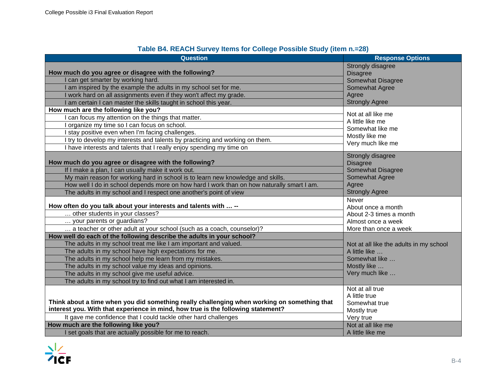| <b>Question</b>                                                                             | <b>Response Options</b>                 |
|---------------------------------------------------------------------------------------------|-----------------------------------------|
|                                                                                             | Strongly disagree                       |
| How much do you agree or disagree with the following?                                       | <b>Disagree</b>                         |
| I can get smarter by working hard.                                                          | <b>Somewhat Disagree</b>                |
| I am inspired by the example the adults in my school set for me.                            | Somewhat Agree                          |
| I work hard on all assignments even if they won't affect my grade.                          | Agree                                   |
| I am certain I can master the skills taught in school this year.                            | <b>Strongly Agree</b>                   |
| How much are the following like you?                                                        | Not at all like me                      |
| I can focus my attention on the things that matter.                                         | A little like me                        |
| organize my time so I can focus on school.                                                  | Somewhat like me                        |
| stay positive even when I'm facing challenges.                                              | Mostly like me                          |
| I try to develop my interests and talents by practicing and working on them.                | Very much like me                       |
| I have interests and talents that I really enjoy spending my time on                        |                                         |
|                                                                                             | Strongly disagree                       |
| How much do you agree or disagree with the following?                                       | <b>Disagree</b>                         |
| If I make a plan, I can usually make it work out.                                           | <b>Somewhat Disagree</b>                |
| My main reason for working hard in school is to learn new knowledge and skills.             | Somewhat Agree                          |
| How well I do in school depends more on how hard I work than on how naturally smart I am.   | Agree                                   |
| The adults in my school and I respect one another's point of view                           | <b>Strongly Agree</b>                   |
|                                                                                             | Never                                   |
| How often do you talk about your interests and talents with  --                             | About once a month                      |
| other students in your classes?                                                             | About 2-3 times a month                 |
| your parents or guardians?                                                                  | Almost once a week                      |
| a teacher or other adult at your school (such as a coach, counselor)?                       | More than once a week                   |
| How well do each of the following describe the adults in your school?                       |                                         |
| The adults in my school treat me like I am important and valued.                            | Not at all like the adults in my school |
| The adults in my school have high expectations for me.                                      | A little like                           |
| The adults in my school help me learn from my mistakes.                                     | Somewhat like                           |
| The adults in my school value my ideas and opinions.                                        | Mostly like                             |
| The adults in my school give me useful advice.                                              | Very much like                          |
| The adults in my school try to find out what I am interested in.                            |                                         |
|                                                                                             | Not at all true                         |
|                                                                                             | A little true                           |
| Think about a time when you did something really challenging when working on something that | Somewhat true                           |
| interest you. With that experience in mind, how true is the following statement?            | Mostly true                             |
| It gave me confidence that I could tackle other hard challenges                             | Very true                               |
| How much are the following like you?                                                        | Not at all like me                      |
| I set goals that are actually possible for me to reach.                                     | A little like me                        |

### **Table B4. REACH Survey Items for College Possible Study (item n.=28)**

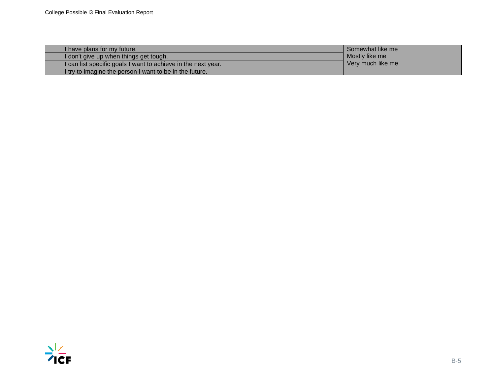| I have plans for my future.                                   | Somewhat like me  |
|---------------------------------------------------------------|-------------------|
| I don't give up when things get tough.                        | Mostly like me    |
| I can list specific goals I want to achieve in the next year. | Very much like me |
| I try to imagine the person I want to be in the future.       |                   |

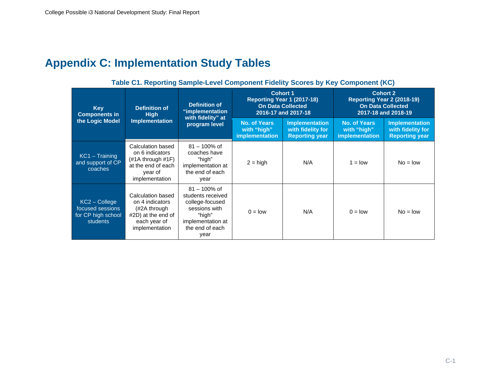# **Appendix C: Implementation Study Tables**

**Key Components in the Logic Model Definition of High Implementation Definition of "implementation with fidelity" at program level Cohort 1 Reporting Year 1 (2017-18) On Data Collected 2016-17 and 2017-18 Cohort 2 Reporting Year 2 (2018-19) On Data Collected 2017-18 and 2018-19 No. of Years with "high" implementation Implementation with fidelity for Reporting year No. of Years with "high" implementation Implementation with fidelity for Reporting year** KC1 – Training and support of CP coaches Calculation based on 6 indicators (#1A through #1F) at the end of each year of implementation 81 – 100% of coaches have "high" implementation at the end of each year  $2 = high$  N/A 1 = low No = low KC2 – College focused sessions for CP high school students Calculation based on 4 indicators (#2A through #2D) at the end of each year of implementation 81 – 100% of students received college-focused sessions with "high" implementation at the end of each year  $0 = low$   $N/A$   $0 = low$   $No = low$ 

#### **Table C1. Reporting Sample-Level Component Fidelity Scores by Key Component (KC)**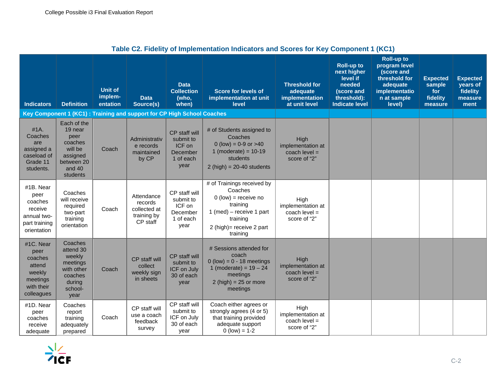|                                                                                          |                                                                                                      |                                       |                                                                        |                                                                       | Table UZ. Fluenty of implementation indicators and Scores for Key Component T (KUT)                                                                         |                                                                     |                                                                                                              |                                                                                                                         |                                                         |                                                            |
|------------------------------------------------------------------------------------------|------------------------------------------------------------------------------------------------------|---------------------------------------|------------------------------------------------------------------------|-----------------------------------------------------------------------|-------------------------------------------------------------------------------------------------------------------------------------------------------------|---------------------------------------------------------------------|--------------------------------------------------------------------------------------------------------------|-------------------------------------------------------------------------------------------------------------------------|---------------------------------------------------------|------------------------------------------------------------|
| <b>Indicators</b>                                                                        | <b>Definition</b>                                                                                    | <b>Unit of</b><br>implem-<br>entation | <b>Data</b><br>Source(s)                                               | <b>Data</b><br><b>Collection</b><br>(who,<br>when)                    | <b>Score for levels of</b><br>implementation at unit<br>level                                                                                               | <b>Threshold for</b><br>adequate<br>implementation<br>at unit level | <b>Roll-up to</b><br>next higher<br>level if<br>needed<br>(score and<br>threshold):<br><b>Indicate level</b> | <b>Roll-up to</b><br>program level<br>(score and<br>threshold for<br>adequate<br>implementatio<br>n at sample<br>level) | <b>Expected</b><br>sample<br>for<br>fidelity<br>measure | <b>Expected</b><br>years of<br>fidelity<br>measure<br>ment |
|                                                                                          |                                                                                                      |                                       | Key Component 1 (KC1): Training and support for CP High School Coaches |                                                                       |                                                                                                                                                             |                                                                     |                                                                                                              |                                                                                                                         |                                                         |                                                            |
| #1A.<br>Coaches<br>are<br>assigned a<br>caseload of<br>Grade 11<br>students.             | Each of the<br>19 near<br>peer<br>coaches<br>will be<br>assigned<br>between 20<br>and 40<br>students | Coach                                 | Administrativ<br>e records<br>maintained<br>by CP                      | CP staff will<br>submit to<br>ICF on<br>December<br>1 of each<br>year | # of Students assigned to<br>Coaches<br>0 (low) = $0-9$ or $>40$<br>1 (moderate) = $10-19$<br>students<br>$2(high) = 20-40$ students                        | High<br>implementation at<br>coach level $=$<br>score of "2"        |                                                                                                              |                                                                                                                         |                                                         |                                                            |
| #1B. Near<br>peer<br>coaches<br>receive<br>annual two-<br>part training<br>orientation   | Coaches<br>will receive<br>required<br>two-part<br>training<br>orientation                           | Coach                                 | Attendance<br>records<br>collected at<br>training by<br>CP staff       | CP staff will<br>submit to<br>ICF on<br>December<br>1 of each<br>year | # of Trainings received by<br>Coaches<br>$0$ (low) = receive no<br>training<br>1 (med) – receive 1 part<br>training<br>2 (high)= receive 2 part<br>training | High<br>implementation at<br>coach $level =$<br>score of "2"        |                                                                                                              |                                                                                                                         |                                                         |                                                            |
| #1C. Near<br>peer<br>coaches<br>attend<br>weekly<br>meetings<br>with their<br>colleagues | Coaches<br>attend 30<br>weekly<br>meetings<br>with other<br>coaches<br>during<br>school-<br>year     | Coach                                 | CP staff will<br>collect<br>weekly sign<br>in sheets                   | CP staff will<br>submit to<br>ICF on July<br>30 of each<br>year       | # Sessions attended for<br>coach<br>$0$ (low) = $0 - 18$ meetings<br>1 (moderate) = $19 - 24$<br>meetings<br>$2(high) = 25$ or more<br>meetings             | High<br>implementation at<br>coach $level =$<br>score of "2"        |                                                                                                              |                                                                                                                         |                                                         |                                                            |
| #1D. Near<br>peer<br>coaches<br>receive<br>adequate                                      | Coaches<br>report<br>training<br>adequately<br>prepared                                              | Coach                                 | CP staff will<br>use a coach<br>feedback<br>survey                     | CP staff will<br>submit to<br>ICF on July<br>30 of each<br>year       | Coach either agrees or<br>strongly agrees (4 or 5)<br>that training provided<br>adequate support<br>$0$ (low) = 1-2                                         | High<br>implementation at<br>coach level $=$<br>score of "2"        |                                                                                                              |                                                                                                                         |                                                         |                                                            |

### **Table C2. Fidelity of Implementation Indicators and Scores for Key Component 1 (KC1)**

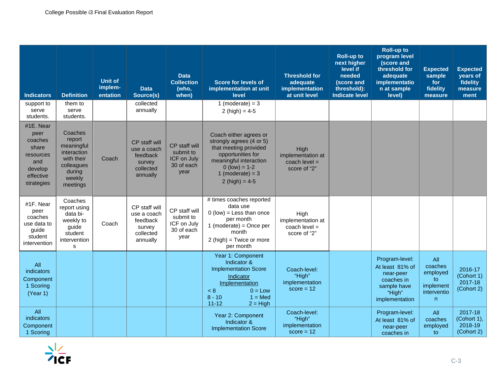| <b>Indicators</b>                                                                               | <b>Definition</b>                                                                                          | <b>Unit of</b><br>implem-<br>entation | <b>Data</b><br>Source(s)                                                    | <b>Data</b><br><b>Collection</b><br>(who,<br>when)              | <b>Score for levels of</b><br>implementation at unit<br>level                                                                                                                           | <b>Threshold for</b><br>adequate<br>implementation<br>at unit level | <b>Roll-up to</b><br>next higher<br>level if<br>needed<br>(score and<br>threshold):<br><b>Indicate level</b> | <b>Roll-up to</b><br>program level<br>(score and<br>threshold for<br>adequate<br>implementatio<br>n at sample<br>level) | <b>Expected</b><br>sample<br>for<br>fidelity<br>measure                      | <b>Expected</b><br>years of<br>fidelity<br>measure<br>ment |
|-------------------------------------------------------------------------------------------------|------------------------------------------------------------------------------------------------------------|---------------------------------------|-----------------------------------------------------------------------------|-----------------------------------------------------------------|-----------------------------------------------------------------------------------------------------------------------------------------------------------------------------------------|---------------------------------------------------------------------|--------------------------------------------------------------------------------------------------------------|-------------------------------------------------------------------------------------------------------------------------|------------------------------------------------------------------------------|------------------------------------------------------------|
| support to<br>serve<br>students.                                                                | them to<br>serve<br>students.                                                                              |                                       | collected<br>annually                                                       |                                                                 | 1 (moderate) = $3$<br>2 (high) = $4-5$                                                                                                                                                  |                                                                     |                                                                                                              |                                                                                                                         |                                                                              |                                                            |
| #1E. Near<br>peer<br>coaches<br>share<br>resources<br>and<br>develop<br>effective<br>strategies | Coaches<br>report<br>meaningful<br>interaction<br>with their<br>colleagues<br>during<br>weekly<br>meetings | Coach                                 | CP staff will<br>use a coach<br>feedback<br>survey<br>collected<br>annually | CP staff will<br>submit to<br>ICF on July<br>30 of each<br>year | Coach either agrees or<br>strongly agrees (4 or 5)<br>that meeting provided<br>opportunities for<br>meaningful interaction<br>$0$ (low) = 1-2<br>1 (moderate) = $3$<br>2 (high) = $4-5$ | High<br>implementation at<br>coach level $=$<br>score of "2"        |                                                                                                              |                                                                                                                         |                                                                              |                                                            |
| #1F. Near<br>peer<br>coaches<br>use data to<br>guide<br>student<br>intervention                 | Coaches<br>report using<br>data bi-<br>weekly to<br>guide<br>student<br>intervention<br>s                  | Coach                                 | CP staff will<br>use a coach<br>feedback<br>survey<br>collected<br>annually | CP staff will<br>submit to<br>ICF on July<br>30 of each<br>vear | # times coaches reported<br>data use<br>$0$ (low) = Less than once<br>per month<br>1 (moderate) = Once per<br>month<br>$2(high) = Twice$ or more<br>per month                           | High<br>implementation at<br>coach level $=$<br>score of "2"        |                                                                                                              |                                                                                                                         |                                                                              |                                                            |
| All<br>indicators<br>Component<br>1 Scoring<br>(Year 1)                                         |                                                                                                            |                                       |                                                                             |                                                                 | Year 1: Component<br>Indicator &<br><b>Implementation Score</b><br>Indicator<br>Implementation<br>< 8<br>$0 = Low$<br>$8 - 10$<br>$1 = Med$<br>$11 - 12$<br>$2 = High$                  | Coach-level:<br>"High"<br>implementation<br>$score = 12$            |                                                                                                              | Program-level:<br>At least 81% of<br>near-peer<br>coaches in<br>sample have<br>"High"<br>implementation                 | All<br>coaches<br>employed<br>to<br>implement<br>interventio<br>$\mathsf{n}$ | 2016-17<br>(Cohort 1)<br>2017-18<br>(Cohort 2)             |
| All<br>indicators<br>Component<br>1 Scoring                                                     |                                                                                                            |                                       |                                                                             |                                                                 | Year 2: Component<br>Indicator &<br><b>Implementation Score</b>                                                                                                                         | Coach-level:<br>"High"<br>implementation<br>$score = 12$            |                                                                                                              | Program-level:<br>At least 81% of<br>near-peer<br>coaches in                                                            | All<br>coaches<br>employed<br>to                                             | 2017-18<br>(Cohort 1),<br>2018-19<br>(Cohort 2)            |

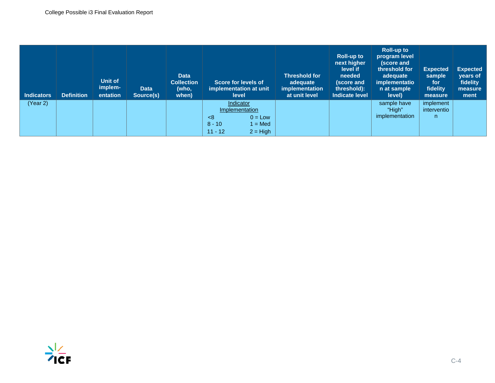| <b>Indicators</b> | <b>Definition</b> | Unit of<br>implem-<br>entation | <b>Data</b><br>Source(s) | <b>Data</b><br><b>Collection</b><br>(who,<br>when) | Score for levels of<br>implementation at unit<br>level                                               | <b>Threshold for</b><br>adequate<br>implementation<br>at unit level | <b>Roll-up to</b><br>next higher<br>level if<br>needed<br>(score and<br>threshold):<br><b>Indicate level</b> | <b>Roll-up to</b><br>program level<br>(score and<br>threshold for<br>adequate<br>implementatio<br>n at sample<br>level) | <b>Expected</b><br>sample<br>for<br>fidelity<br>measure | <b>Expected</b><br>years of<br>fidelity<br>measure<br>ment |
|-------------------|-------------------|--------------------------------|--------------------------|----------------------------------------------------|------------------------------------------------------------------------------------------------------|---------------------------------------------------------------------|--------------------------------------------------------------------------------------------------------------|-------------------------------------------------------------------------------------------------------------------------|---------------------------------------------------------|------------------------------------------------------------|
| (Year 2)          |                   |                                |                          |                                                    | Indicator<br>Implementation<br>$0 = Low$<br>- ≺8<br>$8 - 10$<br>$1 = Med$<br>$2 = High$<br>$11 - 12$ |                                                                     |                                                                                                              | sample have<br>"High"<br>implementation                                                                                 | implement<br>interventio<br>$\mathsf{n}$                |                                                            |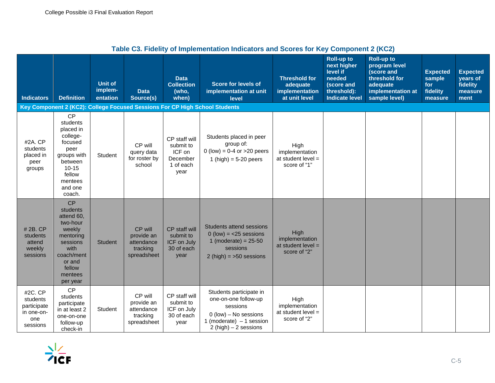| Table G3. Fluenty of implementation muitators and Scores for Key Component Z (KGZ) |                                                                                                                                                     |                                       |                                                                |                                                                       |                                                                                                                                               |                                                                     |                                                                                                              |                                                                                                                     |                                                         |                                                            |
|------------------------------------------------------------------------------------|-----------------------------------------------------------------------------------------------------------------------------------------------------|---------------------------------------|----------------------------------------------------------------|-----------------------------------------------------------------------|-----------------------------------------------------------------------------------------------------------------------------------------------|---------------------------------------------------------------------|--------------------------------------------------------------------------------------------------------------|---------------------------------------------------------------------------------------------------------------------|---------------------------------------------------------|------------------------------------------------------------|
| <b>Indicators</b>                                                                  | <b>Definition</b>                                                                                                                                   | <b>Unit of</b><br>implem-<br>entation | <b>Data</b><br>Source(s)                                       | <b>Data</b><br><b>Collection</b><br>(who,<br>when)                    | <b>Score for levels of</b><br>implementation at unit<br>level                                                                                 | <b>Threshold for</b><br>adequate<br>implementation<br>at unit level | <b>Roll-up to</b><br>next higher<br>level if<br>needed<br>(score and<br>threshold):<br><b>Indicate level</b> | <b>Roll-up to</b><br>program level<br>(score and<br>threshold for<br>adequate<br>implementation at<br>sample level) | <b>Expected</b><br>sample<br>for<br>fidelity<br>measure | <b>Expected</b><br>years of<br>fidelity<br>measure<br>ment |
|                                                                                    |                                                                                                                                                     |                                       |                                                                |                                                                       | Key Component 2 (KC2): College Focused Sessions For CP High School Students                                                                   |                                                                     |                                                                                                              |                                                                                                                     |                                                         |                                                            |
| #2A. CP<br>students<br>placed in<br>peer<br>groups                                 | <b>CP</b><br>students<br>placed in<br>college-<br>focused<br>peer<br>groups with<br>between<br>$10 - 15$<br>fellow<br>mentees<br>and one<br>coach.  | Student                               | CP will<br>query data<br>for roster by<br>school               | CP staff will<br>submit to<br>ICF on<br>December<br>1 of each<br>year | Students placed in peer<br>group of:<br>$0$ (low) = 0-4 or >20 peers<br>1 (high) = $5-20$ peers                                               | High<br>implementation<br>at student level $=$<br>score of "1"      |                                                                                                              |                                                                                                                     |                                                         |                                                            |
| #2B. CP<br>students<br>attend<br>weekly<br>sessions                                | <b>CP</b><br>students<br>attend 60,<br>two-hour<br>weekly<br>mentoring<br>sessions<br>with<br>coach/ment<br>or and<br>fellow<br>mentees<br>per year | <b>Student</b>                        | CP will<br>provide an<br>attendance<br>tracking<br>spreadsheet | CP staff will<br>submit to<br>ICF on July<br>30 of each<br>year       | Students attend sessions<br>$0$ (low) = $<$ 25 sessions<br>1 (moderate) = $25-50$<br>sessions<br>$2(high) = 50$ sessions                      | High<br>implementation<br>at student level $=$<br>score of "2"      |                                                                                                              |                                                                                                                     |                                                         |                                                            |
| #2C. CP<br>students<br>participate<br>in one-on-<br>one<br>sessions                | <b>CP</b><br>students<br>participate<br>in at least 2<br>one-on-one<br>follow-up<br>check-in                                                        | Student                               | CP will<br>provide an<br>attendance<br>tracking<br>spreadsheet | CP staff will<br>submit to<br>ICF on July<br>30 of each<br>year       | Students participate in<br>one-on-one follow-up<br>sessions<br>$0$ (low) – No sessions<br>1 (moderate) $-1$ session<br>2 (high) $-2$ sessions | High<br>implementation<br>at student level $=$<br>score of "2"      |                                                                                                              |                                                                                                                     |                                                         |                                                            |

## **Table C3. Fidelity of Implementation Indicators and Scores for Key Component 2 (KC2)**

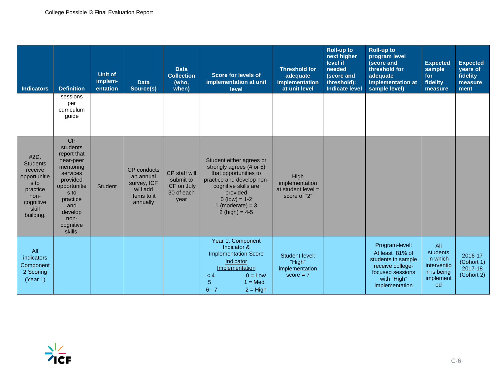| <b>Indicators</b>                                                                                                 | <b>Definition</b><br>sessions<br>per<br>curriculum<br>guide                                                                                                           | <b>Unit of</b><br>implem-<br>entation | <b>Data</b><br>Source(s)                                                              | <b>Data</b><br><b>Collection</b><br>(who,<br>when)              | <b>Score for levels of</b><br>implementation at unit<br>level                                                                                                                                               | <b>Threshold for</b><br>adequate<br>implementation<br>at unit level | <b>Roll-up to</b><br>next higher<br>level if<br>needed<br>(score and<br>threshold):<br>Indicate level | <b>Roll-up to</b><br>program level<br>(score and<br>threshold for<br>adequate<br>implementation at<br>sample level)              | <b>Expected</b><br>sample<br>for<br>fidelity<br>measure                     | <b>Expected</b><br>years of<br>fidelity<br>measure<br>ment |
|-------------------------------------------------------------------------------------------------------------------|-----------------------------------------------------------------------------------------------------------------------------------------------------------------------|---------------------------------------|---------------------------------------------------------------------------------------|-----------------------------------------------------------------|-------------------------------------------------------------------------------------------------------------------------------------------------------------------------------------------------------------|---------------------------------------------------------------------|-------------------------------------------------------------------------------------------------------|----------------------------------------------------------------------------------------------------------------------------------|-----------------------------------------------------------------------------|------------------------------------------------------------|
| #2D.<br><b>Students</b><br>receive<br>opportunitie<br>s to<br>practice<br>non-<br>cognitive<br>skill<br>building. | CP<br>students<br>report that<br>near-peer<br>mentoring<br>services<br>provided<br>opportunitie<br>s to<br>practice<br>and<br>develop<br>non-<br>cognitive<br>skills. | <b>Student</b>                        | <b>CP</b> conducts<br>an annual<br>survey, ICF<br>will add<br>items to it<br>annually | CP staff will<br>submit to<br>ICF on July<br>30 of each<br>vear | Student either agrees or<br>strongly agrees (4 or 5)<br>that opportunities to<br>practice and develop non-<br>cognitive skills are<br>provided<br>$0$ (low) = 1-2<br>1 (moderate) = $3$<br>2 (high) = $4-5$ | High<br>implementation<br>at student level $=$<br>score of "2"      |                                                                                                       |                                                                                                                                  |                                                                             |                                                            |
| All<br>indicators<br>Component<br>2 Scoring<br>(Year 1)                                                           |                                                                                                                                                                       |                                       |                                                                                       |                                                                 | Year 1: Component<br>Indicator &<br><b>Implementation Score</b><br>Indicator<br>Implementation<br>$0 = Low$<br>< 4<br>$\overline{5}$<br>$1 = Med$<br>$6 - 7$<br>$2 = High$                                  | Student-level:<br>"High"<br>implementation<br>$score = 7$           |                                                                                                       | Program-level:<br>At least 81% of<br>students in sample<br>receive college-<br>focused sessions<br>with "High"<br>implementation | All<br>students<br>in which<br>interventio<br>n is being<br>implement<br>ed | 2016-17<br>(Cohort 1)<br>2017-18<br>(Cohort 2)             |